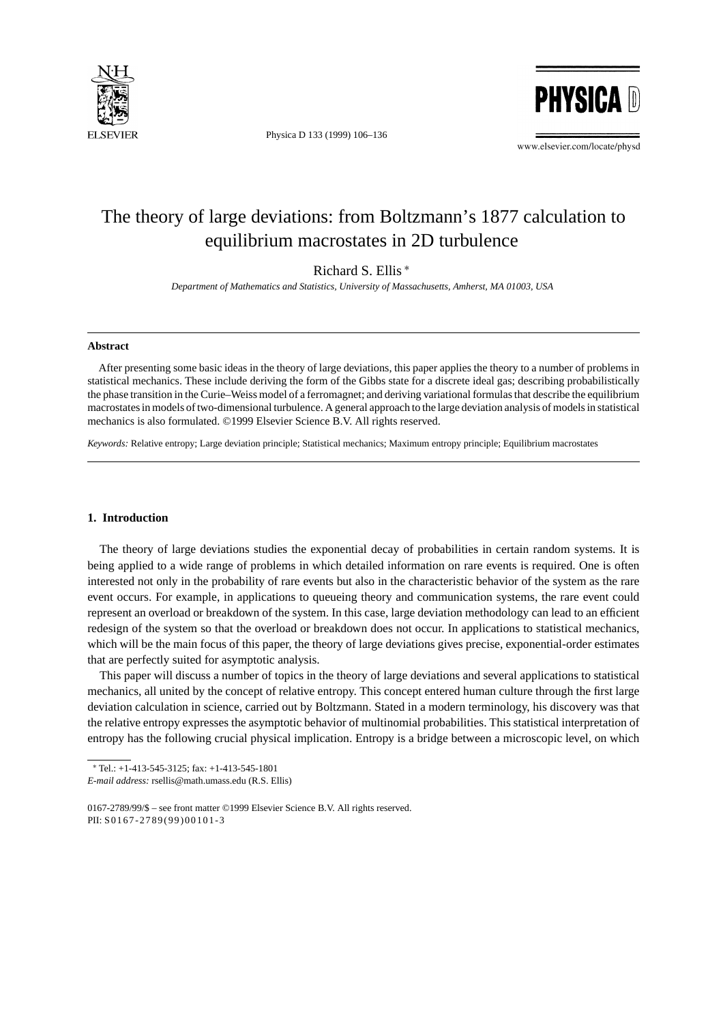

Physica D 133 (1999) 106–136



www.elsevier.com/locate/physd

# The theory of large deviations: from Boltzmann's 1877 calculation to equilibrium macrostates in 2D turbulence

Richard S. Ellis <sup>∗</sup>

*Department of Mathematics and Statistics, University of Massachusetts, Amherst, MA 01003, USA*

#### **Abstract**

After presenting some basic ideas in the theory of large deviations, this paper applies the theory to a number of problems in statistical mechanics. These include deriving the form of the Gibbs state for a discrete ideal gas; describing probabilistically the phase transition in the Curie–Weiss model of a ferromagnet; and deriving variational formulas that describe the equilibrium macrostates in models of two-dimensional turbulence. A general approach to the large deviation analysis of models in statistical mechanics is also formulated. ©1999 Elsevier Science B.V. All rights reserved.

*Keywords:* Relative entropy; Large deviation principle; Statistical mechanics; Maximum entropy principle; Equilibrium macrostates

## **1. Introduction**

The theory of large deviations studies the exponential decay of probabilities in certain random systems. It is being applied to a wide range of problems in which detailed information on rare events is required. One is often interested not only in the probability of rare events but also in the characteristic behavior of the system as the rare event occurs. For example, in applications to queueing theory and communication systems, the rare event could represent an overload or breakdown of the system. In this case, large deviation methodology can lead to an efficient redesign of the system so that the overload or breakdown does not occur. In applications to statistical mechanics, which will be the main focus of this paper, the theory of large deviations gives precise, exponential-order estimates that are perfectly suited for asymptotic analysis.

This paper will discuss a number of topics in the theory of large deviations and several applications to statistical mechanics, all united by the concept of relative entropy. This concept entered human culture through the first large deviation calculation in science, carried out by Boltzmann. Stated in a modern terminology, his discovery was that the relative entropy expresses the asymptotic behavior of multinomial probabilities. This statistical interpretation of entropy has the following crucial physical implication. Entropy is a bridge between a microscopic level, on which

<sup>∗</sup> Tel.: +1-413-545-3125; fax: +1-413-545-1801

*E-mail address:* rsellis@math.umass.edu (R.S. Ellis)

<sup>0167-2789/99/\$ –</sup> see front matter ©1999 Elsevier Science B.V. All rights reserved. PII: S0167-2789(99)00101-3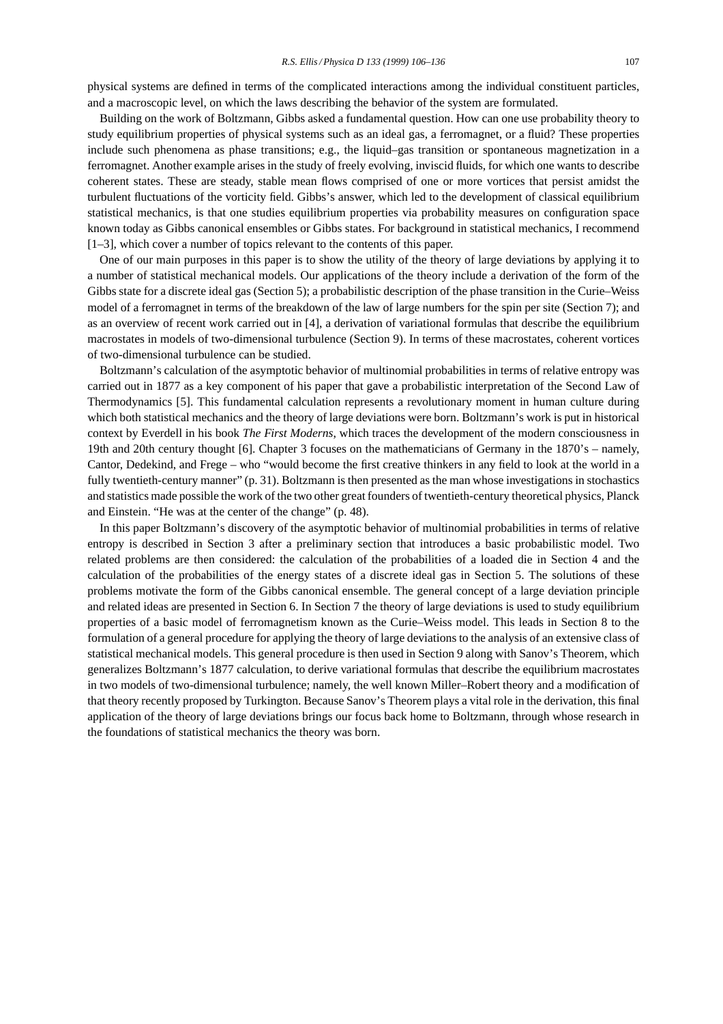physical systems are defined in terms of the complicated interactions among the individual constituent particles, and a macroscopic level, on which the laws describing the behavior of the system are formulated.

Building on the work of Boltzmann, Gibbs asked a fundamental question. How can one use probability theory to study equilibrium properties of physical systems such as an ideal gas, a ferromagnet, or a fluid? These properties include such phenomena as phase transitions; e.g., the liquid–gas transition or spontaneous magnetization in a ferromagnet. Another example arises in the study of freely evolving, inviscid fluids, for which one wants to describe coherent states. These are steady, stable mean flows comprised of one or more vortices that persist amidst the turbulent fluctuations of the vorticity field. Gibbs's answer, which led to the development of classical equilibrium statistical mechanics, is that one studies equilibrium properties via probability measures on configuration space known today as Gibbs canonical ensembles or Gibbs states. For background in statistical mechanics, I recommend [1–3], which cover a number of topics relevant to the contents of this paper.

One of our main purposes in this paper is to show the utility of the theory of large deviations by applying it to a number of statistical mechanical models. Our applications of the theory include a derivation of the form of the Gibbs state for a discrete ideal gas (Section 5); a probabilistic description of the phase transition in the Curie–Weiss model of a ferromagnet in terms of the breakdown of the law of large numbers for the spin per site (Section 7); and as an overview of recent work carried out in [4], a derivation of variational formulas that describe the equilibrium macrostates in models of two-dimensional turbulence (Section 9). In terms of these macrostates, coherent vortices of two-dimensional turbulence can be studied.

Boltzmann's calculation of the asymptotic behavior of multinomial probabilities in terms of relative entropy was carried out in 1877 as a key component of his paper that gave a probabilistic interpretation of the Second Law of Thermodynamics [5]. This fundamental calculation represents a revolutionary moment in human culture during which both statistical mechanics and the theory of large deviations were born. Boltzmann's work is put in historical context by Everdell in his book *The First Moderns*, which traces the development of the modern consciousness in 19th and 20th century thought [6]. Chapter 3 focuses on the mathematicians of Germany in the 1870's – namely, Cantor, Dedekind, and Frege – who "would become the first creative thinkers in any field to look at the world in a fully twentieth-century manner" (p. 31). Boltzmann is then presented as the man whose investigations in stochastics and statistics made possible the work of the two other great founders of twentieth-century theoretical physics, Planck and Einstein. "He was at the center of the change" (p. 48).

In this paper Boltzmann's discovery of the asymptotic behavior of multinomial probabilities in terms of relative entropy is described in Section 3 after a preliminary section that introduces a basic probabilistic model. Two related problems are then considered: the calculation of the probabilities of a loaded die in Section 4 and the calculation of the probabilities of the energy states of a discrete ideal gas in Section 5. The solutions of these problems motivate the form of the Gibbs canonical ensemble. The general concept of a large deviation principle and related ideas are presented in Section 6. In Section 7 the theory of large deviations is used to study equilibrium properties of a basic model of ferromagnetism known as the Curie–Weiss model. This leads in Section 8 to the formulation of a general procedure for applying the theory of large deviations to the analysis of an extensive class of statistical mechanical models. This general procedure is then used in Section 9 along with Sanov's Theorem, which generalizes Boltzmann's 1877 calculation, to derive variational formulas that describe the equilibrium macrostates in two models of two-dimensional turbulence; namely, the well known Miller–Robert theory and a modification of that theory recently proposed by Turkington. Because Sanov's Theorem plays a vital role in the derivation, this final application of the theory of large deviations brings our focus back home to Boltzmann, through whose research in the foundations of statistical mechanics the theory was born.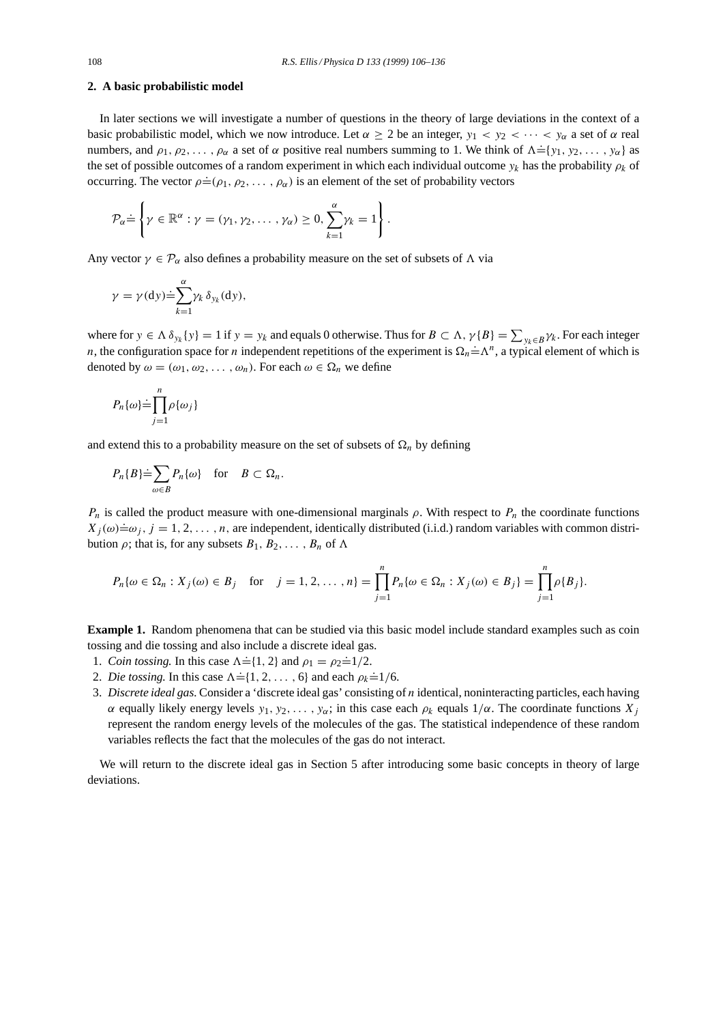#### **2. A basic probabilistic model**

In later sections we will investigate a number of questions in the theory of large deviations in the context of a basic probabilistic model, which we now introduce. Let  $\alpha \geq 2$  be an integer,  $y_1 < y_2 < \cdots < y_\alpha$  a set of  $\alpha$  real numbers, and  $\rho_1, \rho_2, \ldots, \rho_\alpha$  a set of  $\alpha$  positive real numbers summing to 1. We think of  $\Lambda = \{y_1, y_2, \ldots, y_\alpha\}$  as the set of possible outcomes of a random experiment in which each individual outcome  $y_k$  has the probability  $\rho_k$  of occurring. The vector  $\rho = (\rho_1, \rho_2, \dots, \rho_\alpha)$  is an element of the set of probability vectors

$$
\mathcal{P}_{\alpha} \dot{=} \left\{ \gamma \in \mathbb{R}^{\alpha} : \gamma = (\gamma_1, \gamma_2, \dots, \gamma_{\alpha}) \geq 0, \sum_{k=1}^{\alpha} \gamma_k = 1 \right\}.
$$

Any vector  $\gamma \in \mathcal{P}_{\alpha}$  also defines a probability measure on the set of subsets of  $\Lambda$  via

$$
\gamma = \gamma(\mathrm{d}y) \dot{=} \sum_{k=1}^{\alpha} \gamma_k \, \delta_{y_k}(\mathrm{d}y),
$$

where for  $y \in \Lambda \delta_{y_k} \{y\} = 1$  if  $y = y_k$  and equals 0 otherwise. Thus for  $B \subset \Lambda$ ,  $\gamma \{B\} = \sum_{y_k \in B} \gamma_k$ . For each integer n, the configuration space for *n* independent repetitions of the experiment is  $\Omega_n = \Lambda^n$ , a typical element of which is denoted by  $\omega = (\omega_1, \omega_2, \dots, \omega_n)$ . For each  $\omega \in \Omega_n$  we define

$$
P_n\{\omega\} \dot{=}\prod_{j=1}^n \rho\{\omega_j\}
$$

and extend this to a probability measure on the set of subsets of  $\Omega_n$  by defining

$$
P_n\{B\} \dot{=}\n\sum_{\omega\in B} P_n\{\omega\} \quad \text{for} \quad B\subset \Omega_n.
$$

 $P_n$  is called the product measure with one-dimensional marginals  $\rho$ . With respect to  $P_n$  the coordinate functions  $X_j(\omega) = \omega_j$ ,  $j = 1, 2, ..., n$ , are independent, identically distributed (i.i.d.) random variables with common distribution  $\rho$ ; that is, for any subsets  $B_1, B_2, \ldots, B_n$  of  $\Lambda$ 

$$
P_n\{\omega \in \Omega_n : X_j(\omega) \in B_j \quad \text{for} \quad j = 1, 2, \dots, n\} = \prod_{j=1}^n P_n\{\omega \in \Omega_n : X_j(\omega) \in B_j\} = \prod_{j=1}^n \rho\{B_j\}.
$$

**Example 1.** Random phenomena that can be studied via this basic model include standard examples such as coin tossing and die tossing and also include a discrete ideal gas.

- 1. *Coin tossing.* In this case  $\Lambda = \{1, 2\}$  and  $\rho_1 = \rho_2 = 1/2$ .
- 2. *Die tossing*. In this case  $\Lambda = \{1, 2, ..., 6\}$  and each  $\rho_k = 1/6$ .
- 3. *Discrete ideal gas.* Consider a 'discrete ideal gas' consisting of n identical, noninteracting particles, each having α equally likely energy levels  $y_1, y_2, \ldots, y_\alpha$ ; in this case each  $ρ_k$  equals  $1/α$ . The coordinate functions  $X_i$ represent the random energy levels of the molecules of the gas. The statistical independence of these random variables reflects the fact that the molecules of the gas do not interact.

We will return to the discrete ideal gas in Section 5 after introducing some basic concepts in theory of large deviations.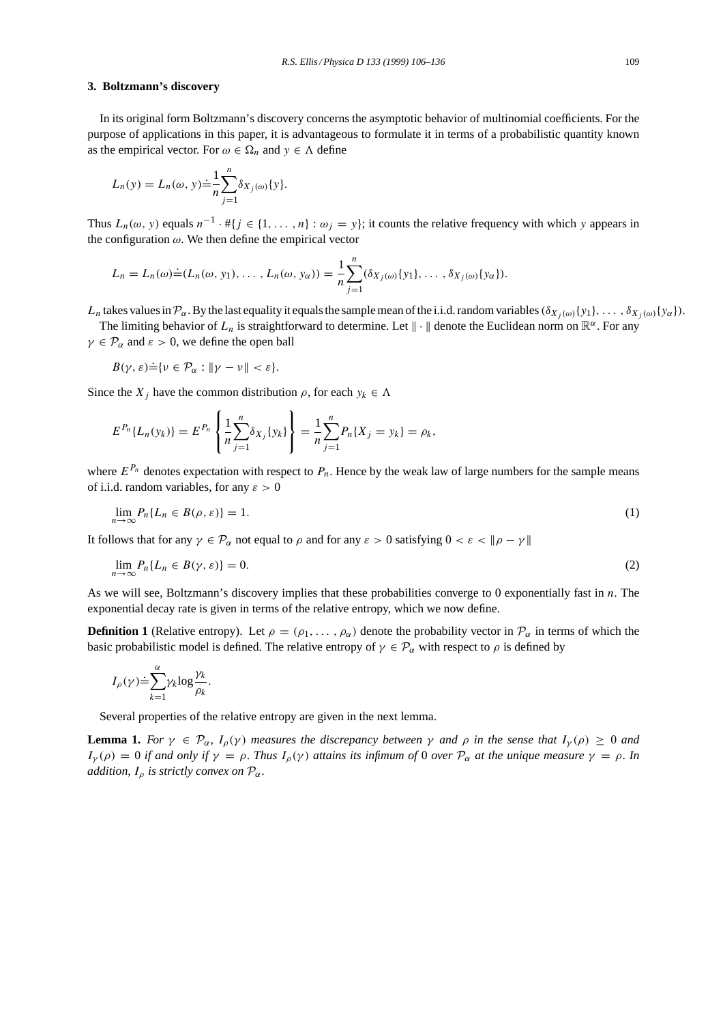#### **3. Boltzmann's discovery**

In its original form Boltzmann's discovery concerns the asymptotic behavior of multinomial coefficients. For the purpose of applications in this paper, it is advantageous to formulate it in terms of a probabilistic quantity known as the empirical vector. For  $\omega \in \Omega_n$  and  $y \in \Lambda$  define

$$
L_n(y) = L_n(\omega, y) \doteq \frac{1}{n} \sum_{j=1}^n \delta_{X_j(\omega)}\{y\}.
$$

Thus  $L_n(\omega, y)$  equals  $n^{-1} \cdot #\{j \in \{1, ..., n\} : \omega_j = y\}$ ; it counts the relative frequency with which y appears in the configuration  $\omega$ . We then define the empirical vector

$$
L_n = L_n(\omega) \doteq (L_n(\omega, y_1), \dots, L_n(\omega, y_\alpha)) = \frac{1}{n} \sum_{j=1}^n (\delta_{X_j(\omega)}\{y_1\}, \dots, \delta_{X_j(\omega)}\{y_\alpha\}).
$$

 $L_n$  takes values in  $\mathcal{P}_\alpha$ . By the last equality it equals the sample mean of the i.i.d. random variables  $(\delta_{X_i(\omega)}\{y_1\},\ldots,\delta_{X_i(\omega)}\{y_\alpha\}).$ 

The limiting behavior of  $L_n$  is straightforward to determine. Let  $\|\cdot\|$  denote the Euclidean norm on  $\mathbb{R}^\alpha$ . For any  $\gamma \in \mathcal{P}_{\alpha}$  and  $\varepsilon > 0$ , we define the open ball

$$
B(\gamma, \varepsilon) \dot{=} \{ \nu \in \mathcal{P}_{\alpha} : ||\gamma - \nu|| < \varepsilon \}.
$$

Since the  $X_i$  have the common distribution  $\rho$ , for each  $y_k \in \Lambda$ 

$$
E^{P_n}{L_n(y_k)} = E^{P_n}\left\{\frac{1}{n}\sum_{j=1}^n \delta_{X_j}{y_k}\right\} = \frac{1}{n}\sum_{j=1}^n P_n{X_j = y_k} = \rho_k,
$$

where  $E^{P_n}$  denotes expectation with respect to  $P_n$ . Hence by the weak law of large numbers for the sample means of i.i.d. random variables, for any  $\varepsilon > 0$ 

$$
\lim_{n \to \infty} P_n \{ L_n \in B(\rho, \varepsilon) \} = 1. \tag{1}
$$

It follows that for any  $\gamma \in \mathcal{P}_{\alpha}$  not equal to  $\rho$  and for any  $\varepsilon > 0$  satisfying  $0 < \varepsilon < ||\rho - \gamma||$ 

$$
\lim_{n \to \infty} P_n \{ L_n \in B(\gamma, \varepsilon) \} = 0. \tag{2}
$$

As we will see, Boltzmann's discovery implies that these probabilities converge to 0 exponentially fast in  $n$ . The exponential decay rate is given in terms of the relative entropy, which we now define.

**Definition 1** (Relative entropy). Let  $\rho = (\rho_1, \ldots, \rho_\alpha)$  denote the probability vector in  $\mathcal{P}_\alpha$  in terms of which the basic probabilistic model is defined. The relative entropy of  $\gamma \in \mathcal{P}_{\alpha}$  with respect to  $\rho$  is defined by

$$
I_{\rho}(\gamma) \dot{=} \sum_{k=1}^{\alpha} \gamma_k \log \frac{\gamma_k}{\rho_k}.
$$

Several properties of the relative entropy are given in the next lemma.

**Lemma 1.** *For*  $\gamma \in \mathcal{P}_{\alpha}$ ,  $I_{\rho}(\gamma)$  *measures the discrepancy between*  $\gamma$  *and*  $\rho$  *in the sense that*  $I_{\gamma}(\rho) \ge 0$  *and*  $I_{\gamma}(\rho) = 0$  *if and only if*  $\gamma = \rho$ . *Thus*  $I_{\rho}(\gamma)$  *attains its infimum of* 0 *over*  $\mathcal{P}_{\alpha}$  *at the unique measure*  $\gamma = \rho$ . *In addition,*  $I_{\rho}$  *is strictly convex on*  $\mathcal{P}_{\alpha}$ *.*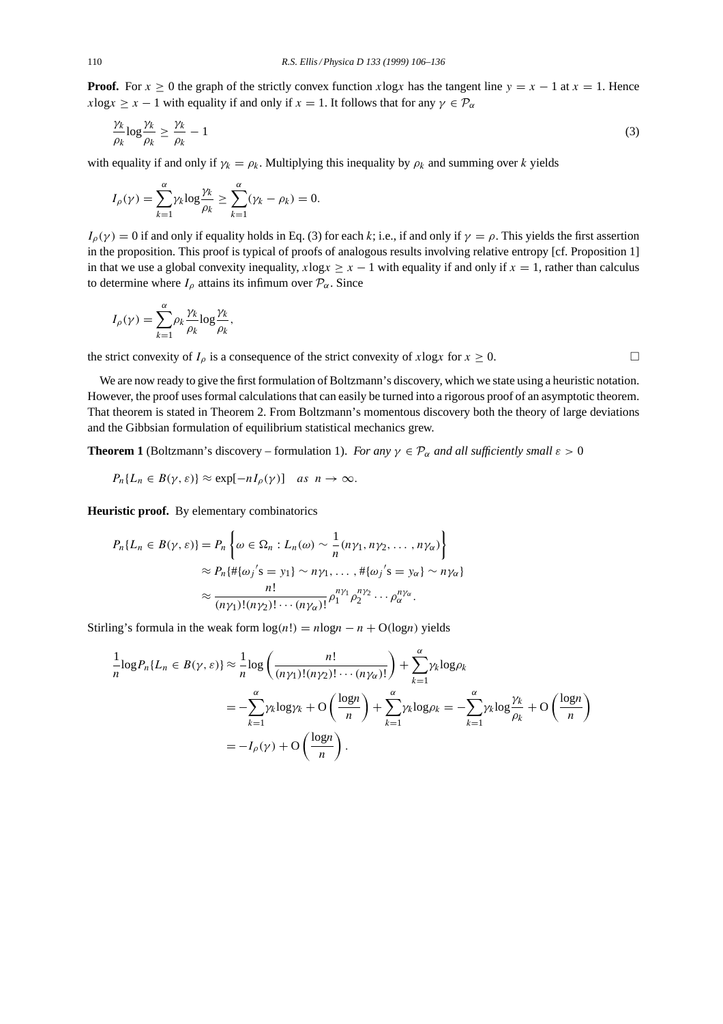**Proof.** For  $x \ge 0$  the graph of the strictly convex function xlogx has the tangent line  $y = x - 1$  at  $x = 1$ . Hence  $x\log x \geq x - 1$  with equality if and only if  $x = 1$ . It follows that for any  $\gamma \in \mathcal{P}_{\alpha}$ 

$$
\frac{\gamma_k}{\rho_k} \log \frac{\gamma_k}{\rho_k} \ge \frac{\gamma_k}{\rho_k} - 1 \tag{3}
$$

with equality if and only if  $\gamma_k = \rho_k$ . Multiplying this inequality by  $\rho_k$  and summing over k yields

$$
I_{\rho}(\gamma) = \sum_{k=1}^{\alpha} \gamma_k \log \frac{\gamma_k}{\rho_k} \ge \sum_{k=1}^{\alpha} (\gamma_k - \rho_k) = 0.
$$

 $I_{\rho}(\gamma) = 0$  if and only if equality holds in Eq. (3) for each k; i.e., if and only if  $\gamma = \rho$ . This yields the first assertion in the proposition. This proof is typical of proofs of analogous results involving relative entropy [cf. Proposition 1] in that we use a global convexity inequality,  $x \log x \geq x - 1$  with equality if and only if  $x = 1$ , rather than calculus to determine where  $I_{\rho}$  attains its infimum over  $\mathcal{P}_{\alpha}$ . Since

$$
I_{\rho}(\gamma) = \sum_{k=1}^{\alpha} \rho_k \frac{\gamma_k}{\rho_k} \log \frac{\gamma_k}{\rho_k},
$$

the strict convexity of  $I_\rho$  is a consequence of the strict convexity of xlogx for  $x \ge 0$ .

We are now ready to give the first formulation of Boltzmann's discovery, which we state using a heuristic notation. However, the proof uses formal calculations that can easily be turned into a rigorous proof of an asymptotic theorem. That theorem is stated in Theorem 2. From Boltzmann's momentous discovery both the theory of large deviations and the Gibbsian formulation of equilibrium statistical mechanics grew.

**Theorem 1** (Boltzmann's discovery – formulation 1). *For any*  $\gamma \in \mathcal{P}_{\alpha}$  *and all sufficiently small*  $\varepsilon > 0$ 

$$
P_n\{L_n \in B(\gamma,\varepsilon)\} \approx \exp[-nI_\rho(\gamma)] \quad \text{as} \ \ n \to \infty.
$$

**Heuristic proof.** By elementary combinatorics

$$
P_n\{L_n \in B(\gamma, \varepsilon)\} = P_n\left\{\omega \in \Omega_n : L_n(\omega) \sim \frac{1}{n}(n\gamma_1, n\gamma_2, \dots, n\gamma_\alpha)\right\}
$$

$$
\approx P_n\{\#\{\omega_j\}'s = y_1\} \sim n\gamma_1, \dots, \#\{\omega_j\}'s = y_\alpha\} \sim n\gamma_\alpha\}
$$

$$
\approx \frac{n!}{(n\gamma_1)!(n\gamma_2)!\cdots(n\gamma_\alpha)!} \rho_1^{n\gamma_1} \rho_2^{n\gamma_2} \cdots \rho_\alpha^{n\gamma_\alpha}.
$$

Stirling's formula in the weak form  $log(n!) = nlog n - n + O(log n)$  yields

$$
\frac{1}{n}\log P_n\{L_n \in B(\gamma,\varepsilon)\} \approx \frac{1}{n}\log\left(\frac{n!}{(n\gamma_1)!(n\gamma_2)!\cdots(n\gamma_\alpha)!}\right) + \sum_{k=1}^\alpha \gamma_k \log \rho_k
$$
\n
$$
= -\sum_{k=1}^\alpha \gamma_k \log \gamma_k + \mathcal{O}\left(\frac{\log n}{n}\right) + \sum_{k=1}^\alpha \gamma_k \log \rho_k = -\sum_{k=1}^\alpha \gamma_k \log \frac{\gamma_k}{\rho_k} + \mathcal{O}\left(\frac{\log n}{n}\right)
$$
\n
$$
= -I_\rho(\gamma) + \mathcal{O}\left(\frac{\log n}{n}\right).
$$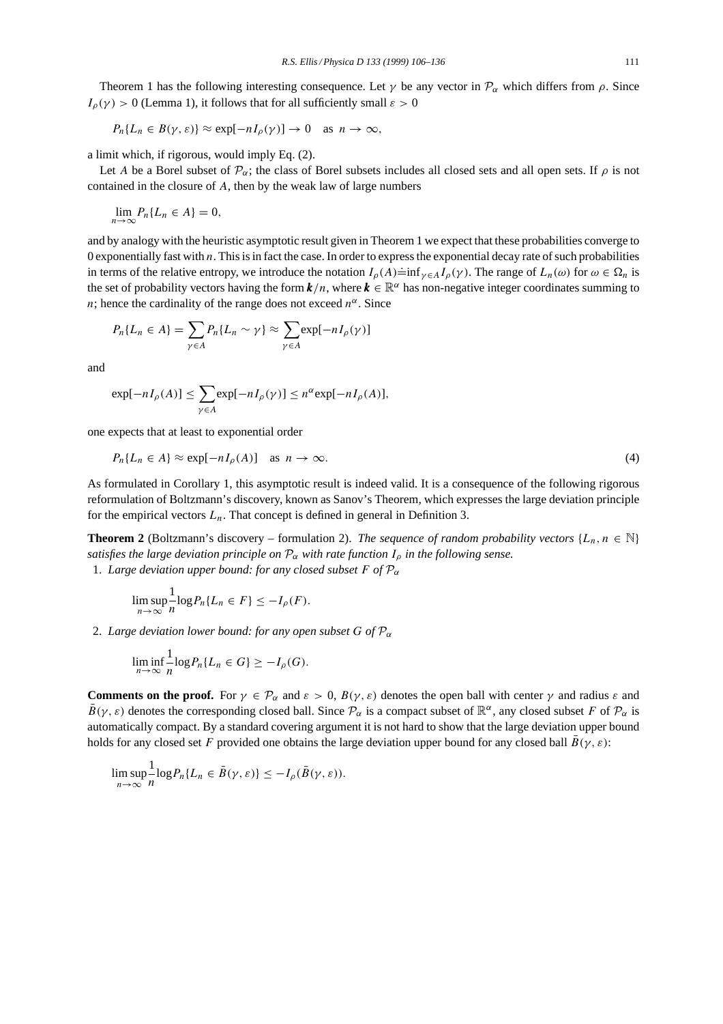Theorem 1 has the following interesting consequence. Let  $\gamma$  be any vector in  $\mathcal{P}_{\alpha}$  which differs from  $\rho$ . Since  $I_{\rho}(\gamma) > 0$  (Lemma 1), it follows that for all sufficiently small  $\varepsilon > 0$ 

$$
P_n\{L_n \in B(\gamma, \varepsilon)\} \approx \exp[-nI_\rho(\gamma)] \to 0 \quad \text{as } n \to \infty,
$$

a limit which, if rigorous, would imply Eq. (2).

Let A be a Borel subset of  $\mathcal{P}_{\alpha}$ ; the class of Borel subsets includes all closed sets and all open sets. If  $\rho$  is not contained in the closure of A, then by the weak law of large numbers

$$
\lim_{n\to\infty} P_n\{L_n\in A\}=0,
$$

and by analogy with the heuristic asymptotic result given in Theorem 1 we expect that these probabilities converge to 0 exponentially fast with  $n$ . This is in fact the case. In order to express the exponential decay rate of such probabilities in terms of the relative entropy, we introduce the notation  $I_{\rho}(A) = \inf_{\gamma \in A} I_{\rho}(\gamma)$ . The range of  $L_n(\omega)$  for  $\omega \in \Omega_n$  is the set of probability vectors having the form  $k/n$ , where  $k \in \mathbb{R}^{\alpha}$  has non-negative integer coordinates summing to *n*; hence the cardinality of the range does not exceed  $n^{\alpha}$ . Since

$$
P_n\{L_n \in A\} = \sum_{\gamma \in A} P_n\{L_n \sim \gamma\} \approx \sum_{\gamma \in A} \exp[-nI_\rho(\gamma)]
$$

and

$$
\exp[-nI_{\rho}(A)] \le \sum_{\gamma \in A} \exp[-nI_{\rho}(\gamma)] \le n^{\alpha} \exp[-nI_{\rho}(A)],
$$

one expects that at least to exponential order

$$
P_n\{L_n \in A\} \approx \exp[-nI_\rho(A)] \quad \text{as } n \to \infty. \tag{4}
$$

As formulated in Corollary 1, this asymptotic result is indeed valid. It is a consequence of the following rigorous reformulation of Boltzmann's discovery, known as Sanov's Theorem, which expresses the large deviation principle for the empirical vectors  $L_n$ . That concept is defined in general in Definition 3.

**Theorem 2** (Boltzmann's discovery – formulation 2). *The sequence of random probability vectors* { $L_n$ ,  $n \in \mathbb{N}$ } *satisfies the large deviation principle on*  $P_{\alpha}$  *with rate function*  $I_{\rho}$  *in the following sense.* 1. *Large deviation upper bound: for any closed subset F of*  $P_{\alpha}$ 

$$
\limsup_{n\to\infty}\frac{1}{n}\log P_n\{L_n\in F\}\leq -I_\rho(F).
$$

2. *Large deviation lower bound: for any open subset* G of  $\mathcal{P}_{\alpha}$ 

$$
\liminf_{n\to\infty}\frac{1}{n}\log P_n\{L_n\in G\}\geq -I_\rho(G).
$$

**Comments on the proof.** For  $\gamma \in \mathcal{P}_{\alpha}$  and  $\varepsilon > 0$ ,  $B(\gamma, \varepsilon)$  denotes the open ball with center  $\gamma$  and radius  $\varepsilon$  and  $\bar{B}(\gamma, \varepsilon)$  denotes the corresponding closed ball. Since  $\mathcal{P}_{\alpha}$  is a compact subset of  $\mathbb{R}^{\alpha}$ , any closed subset F of  $\mathcal{P}_{\alpha}$  is automatically compact. By a standard covering argument it is not hard to show that the large deviation upper bound holds for any closed set F provided one obtains the large deviation upper bound for any closed ball  $\bar{B}(\gamma, \varepsilon)$ :

$$
\limsup_{n\to\infty}\frac{1}{n}\log P_n\{L_n\in \bar{B}(\gamma,\varepsilon)\}\leq -I_\rho(\bar{B}(\gamma,\varepsilon)).
$$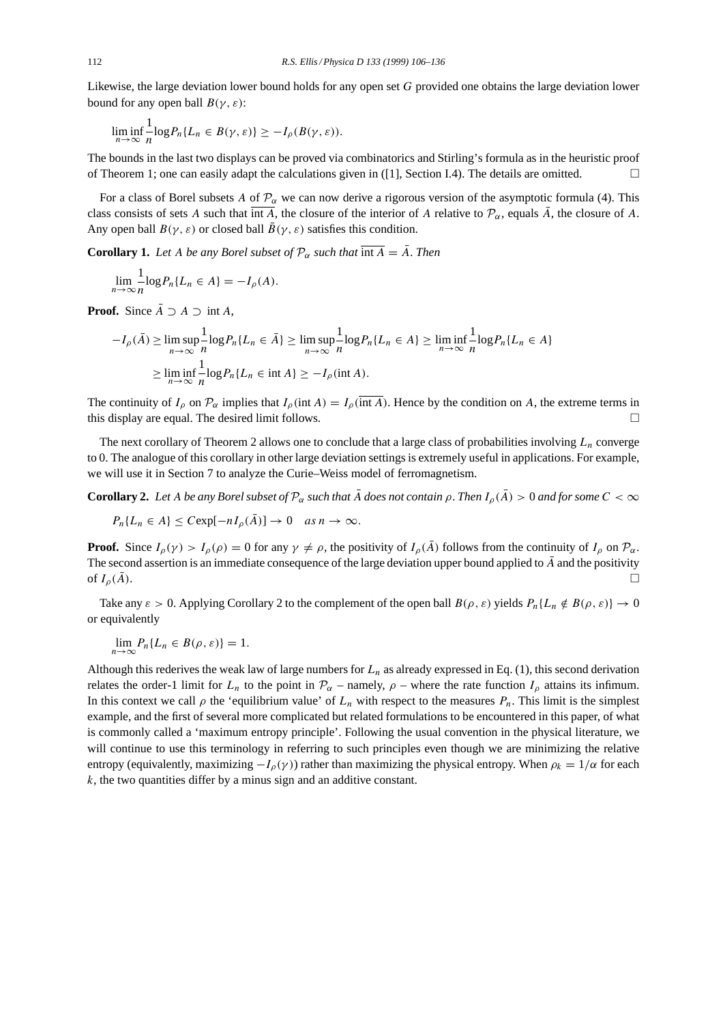Likewise, the large deviation lower bound holds for any open set G provided one obtains the large deviation lower bound for any open ball  $B(\gamma, \varepsilon)$ :

$$
\liminf_{n\to\infty}\frac{1}{n}\log P_n\{L_n\in B(\gamma,\varepsilon)\}\geq -I_\rho(B(\gamma,\varepsilon)).
$$

The bounds in the last two displays can be proved via combinatorics and Stirling's formula as in the heuristic proof of Theorem 1; one can easily adapt the calculations given in ([1], Section I.4). The details are omitted.  $\Box$ 

For a class of Borel subsets A of  $\mathcal{P}_{\alpha}$  we can now derive a rigorous version of the asymptotic formula (4). This class consists of sets A such that  $\overline{\text{int }A}$ , the closure of the interior of A relative to  $\mathcal{P}_{\alpha}$ , equals  $\overline{A}$ , the closure of A. Any open ball  $B(\gamma, \varepsilon)$  or closed ball  $\bar{B}(\gamma, \varepsilon)$  satisfies this condition.

**Corollary 1.** Let A be any Borel subset of  $\mathcal{P}_{\alpha}$  such that  $\overline{\text{int } A} = \overline{A}$ . Then

$$
\lim_{n \to \infty} \frac{1}{n} \log P_n \{ L_n \in A \} = -I_\rho(A).
$$

**Proof.** Since  $\overline{A} \supseteq A \supseteq \text{int } A$ ,

$$
-I_{\rho}(\bar{A}) \ge \limsup_{n \to \infty} \frac{1}{n} \log P_n \{ L_n \in \bar{A} \} \ge \limsup_{n \to \infty} \frac{1}{n} \log P_n \{ L_n \in A \} \ge \liminf_{n \to \infty} \frac{1}{n} \log P_n \{ L_n \in A \}
$$

$$
\ge \liminf_{n \to \infty} \frac{1}{n} \log P_n \{ L_n \in \text{int } A \} \ge -I_{\rho}(\text{int } A).
$$

The continuity of  $I_0$  on  $\mathcal{P}_{\alpha}$  implies that  $I_0(\text{int }A) = I_0(\text{int }A)$ . Hence by the condition on A, the extreme terms in this display are equal. The desired limit follows.  $\Box$ 

The next corollary of Theorem 2 allows one to conclude that a large class of probabilities involving  $L_n$  converge to 0. The analogue of this corollary in other large deviation settings is extremely useful in applications. For example, we will use it in Section 7 to analyze the Curie–Weiss model of ferromagnetism.

**Corollary 2.** Let A be any Borel subset of  $\mathcal{P}_{\alpha}$  such that  $\bar{A}$  does not contain  $\rho$ . Then  $I_{\rho}(\bar{A}) > 0$  and for some  $C < \infty$ 

$$
P_n\{L_n \in A\} \leq C \exp[-nI_\rho(\bar{A})] \to 0 \quad \text{as } n \to \infty.
$$

**Proof.** Since  $I_{\rho}(\gamma) > I_{\rho}(\rho) = 0$  for any  $\gamma \neq \rho$ , the positivity of  $I_{\rho}(\overline{A})$  follows from the continuity of  $I_{\rho}$  on  $\mathcal{P}_{\alpha}$ . The second assertion is an immediate consequence of the large deviation upper bound applied to  $\bar{A}$  and the positivity of  $I_{\rho}(\bar{A})$ .

Take any  $\varepsilon > 0$ . Applying Corollary 2 to the complement of the open ball  $B(\rho, \varepsilon)$  yields  $P_n\{L_n \notin B(\rho, \varepsilon)\}\to 0$ or equivalently

$$
\lim_{n\to\infty} P_n\{L_n\in B(\rho,\varepsilon)\}=1.
$$

Although this rederives the weak law of large numbers for  $L_n$  as already expressed in Eq. (1), this second derivation relates the order-1 limit for  $L_n$  to the point in  $\mathcal{P}_{\alpha}$  – namely,  $\rho$  – where the rate function  $I_{\rho}$  attains its infimum. In this context we call  $\rho$  the 'equilibrium value' of  $L_n$  with respect to the measures  $P_n$ . This limit is the simplest example, and the first of several more complicated but related formulations to be encountered in this paper, of what is commonly called a 'maximum entropy principle'. Following the usual convention in the physical literature, we will continue to use this terminology in referring to such principles even though we are minimizing the relative entropy (equivalently, maximizing  $-I_\rho(\gamma)$ ) rather than maximizing the physical entropy. When  $\rho_k = 1/\alpha$  for each  $k$ , the two quantities differ by a minus sign and an additive constant.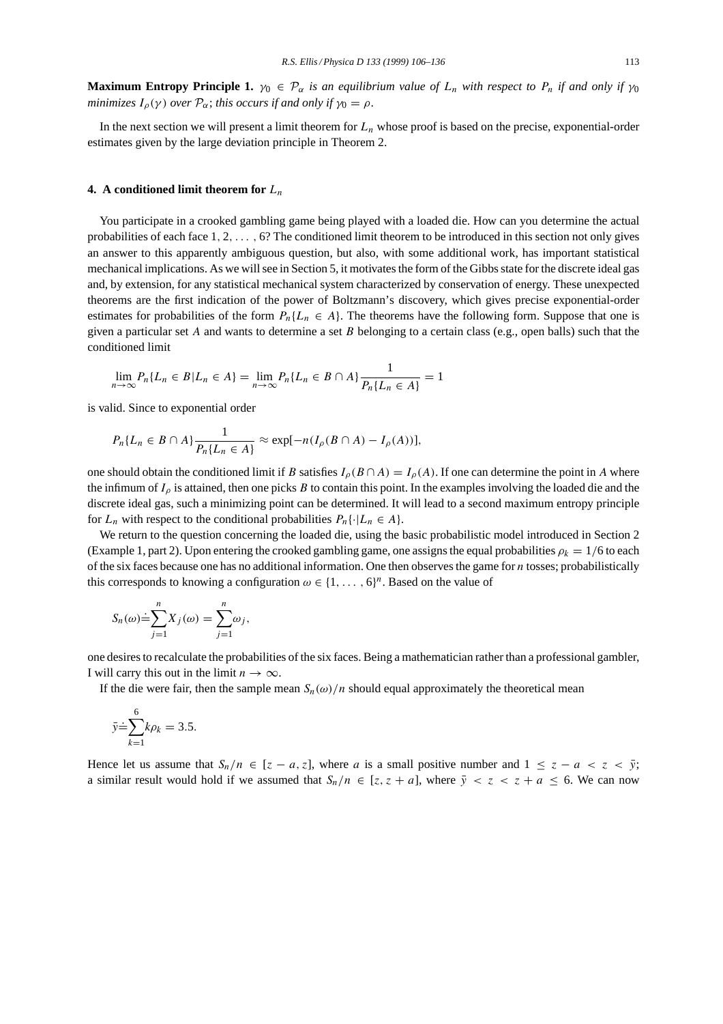**Maximum Entropy Principle 1.**  $\gamma_0 \in \mathcal{P}_{\alpha}$  *is an equilibrium value of*  $L_n$  *with respect to*  $P_n$  *if and only if*  $\gamma_0$ *minimizes*  $I_{\rho}(\gamma)$  *over*  $\mathcal{P}_{\alpha}$ *; this occurs if and only if*  $\gamma_0 = \rho$ *.* 

In the next section we will present a limit theorem for  $L_n$  whose proof is based on the precise, exponential-order estimates given by the large deviation principle in Theorem 2.

### **4.** A conditioned limit theorem for  $L_n$

You participate in a crooked gambling game being played with a loaded die. How can you determine the actual probabilities of each face  $1, 2, \ldots$ , 6? The conditioned limit theorem to be introduced in this section not only gives an answer to this apparently ambiguous question, but also, with some additional work, has important statistical mechanical implications. As we will see in Section 5, it motivates the form of the Gibbs state for the discrete ideal gas and, by extension, for any statistical mechanical system characterized by conservation of energy. These unexpected theorems are the first indication of the power of Boltzmann's discovery, which gives precise exponential-order estimates for probabilities of the form  $P_n\{L_n \in A\}$ . The theorems have the following form. Suppose that one is given a particular set A and wants to determine a set B belonging to a certain class (e.g., open balls) such that the conditioned limit

$$
\lim_{n \to \infty} P_n \{ L_n \in B | L_n \in A \} = \lim_{n \to \infty} P_n \{ L_n \in B \cap A \} \frac{1}{P_n \{ L_n \in A \}} = 1
$$

is valid. Since to exponential order

$$
P_n\{L_n \in B \cap A\} \frac{1}{P_n\{L_n \in A\}} \approx \exp[-n(I_\rho(B \cap A) - I_\rho(A))],
$$

one should obtain the conditioned limit if B satisfies  $I_\rho(B \cap A) = I_\rho(A)$ . If one can determine the point in A where the infimum of  $I_\rho$  is attained, then one picks B to contain this point. In the examples involving the loaded die and the discrete ideal gas, such a minimizing point can be determined. It will lead to a second maximum entropy principle for  $L_n$  with respect to the conditional probabilities  $P_n\{\cdot | L_n \in A\}.$ 

We return to the question concerning the loaded die, using the basic probabilistic model introduced in Section 2 (Example 1, part 2). Upon entering the crooked gambling game, one assigns the equal probabilities  $\rho_k = 1/6$  to each of the six faces because one has no additional information. One then observes the game for  $n$  tosses; probabilistically this corresponds to knowing a configuration  $\omega \in \{1, \ldots, 6\}^n$ . Based on the value of

$$
S_n(\omega) \doteq \sum_{j=1}^n X_j(\omega) = \sum_{j=1}^n \omega_j,
$$

one desires to recalculate the probabilities of the six faces. Being a mathematician rather than a professional gambler, I will carry this out in the limit  $n \to \infty$ .

If the die were fair, then the sample mean  $S_n(\omega)/n$  should equal approximately the theoretical mean

$$
\bar{y} \dot{=} \sum_{k=1}^{6} k \rho_k = 3.5.
$$

Hence let us assume that  $S_n/n \in [z - a, z]$ , where a is a small positive number and  $1 \le z - a < z < \bar{y}$ ; a similar result would hold if we assumed that  $S_n/n \in [z, z + a]$ , where  $\bar{y} < z < z + a \leq 6$ . We can now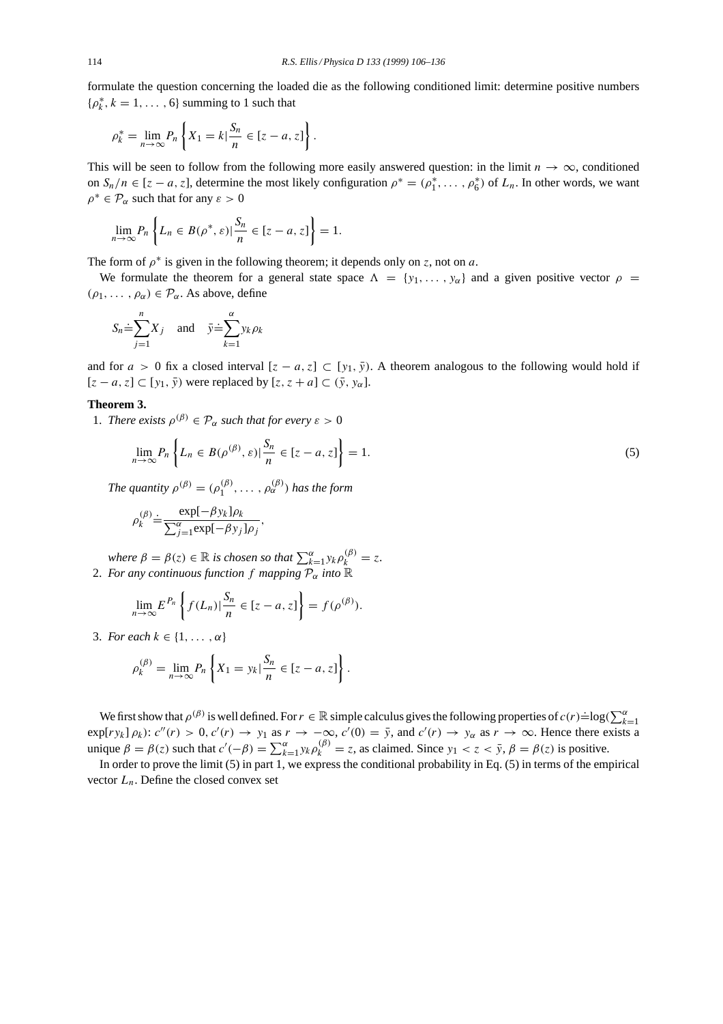formulate the question concerning the loaded die as the following conditioned limit: determine positive numbers  $\{\rho_k^*, k = 1, \ldots, 6\}$  summing to 1 such that

.

$$
\rho_k^* = \lim_{n \to \infty} P_n \left\{ X_1 = k \middle| \frac{S_n}{n} \in [z - a, z] \right\}
$$

This will be seen to follow from the following more easily answered question: in the limit  $n \to \infty$ , conditioned on  $S_n/n \in [z-a, z]$ , determine the most likely configuration  $\rho^* = (\rho_1^*, \dots, \rho_6^*)$  of  $L_n$ . In other words, we want  $\rho^* \in \mathcal{P}_{\alpha}$  such that for any  $\varepsilon > 0$ 

$$
\lim_{n \to \infty} P_n \left\{ L_n \in B(\rho^*, \varepsilon) \middle| \frac{S_n}{n} \in [z - a, z] \right\} = 1.
$$

The form of  $\rho^*$  is given in the following theorem; it depends only on z, not on a.

We formulate the theorem for a general state space  $\Lambda = \{y_1, \ldots, y_\alpha\}$  and a given positive vector  $\rho =$  $(\rho_1, \ldots, \rho_\alpha) \in \mathcal{P}_\alpha$ . As above, define

$$
S_n \doteq \sum_{j=1}^n X_j \quad \text{and} \quad \bar{y} \doteq \sum_{k=1}^\alpha y_k \rho_k
$$

and for  $a > 0$  fix a closed interval  $[z - a, z] \subset [y_1, \overline{y})$ . A theorem analogous to the following would hold if  $[z - a, z] \subset [y_1, \bar{y}]$  were replaced by  $[z, z + a] \subset (\bar{y}, y_\alpha]$ .

# **Theorem 3.**

1. *There exists*  $\rho^{(\beta)} \in \mathcal{P}_{\alpha}$  *such that for every*  $\varepsilon > 0$ 

$$
\lim_{n \to \infty} P_n \left\{ L_n \in B(\rho^{(\beta)}, \varepsilon) \middle| \frac{S_n}{n} \in [z - a, z] \right\} = 1. \tag{5}
$$

*The quantity*  $\rho^{(\beta)} = (\rho_1^{(\beta)}, \dots, \rho_\alpha^{(\beta)})$  *has the form* 

$$
\rho_k^{(\beta)} \doteq \frac{\exp[-\beta y_k] \rho_k}{\sum_{j=1}^{\alpha} \exp[-\beta y_j] \rho_j},
$$

*where*  $\beta = \beta(z) \in \mathbb{R}$  *is chosen so that*  $\sum_{k=1}^{\alpha} y_k \rho_k^{(\beta)} = z$ . 2. For any continuous function f mapping  $\overline{P}_{\alpha}$  into  $\mathbb{R}$ 

$$
\lim_{n\to\infty} E^{P_n}\left\{f(L_n)|\frac{S_n}{n}\in[z-a,z]\right\}=f(\rho^{(\beta)}).
$$

3. *For each*  $k \in \{1, \ldots, \alpha\}$ 

$$
\rho_k^{(\beta)} = \lim_{n \to \infty} P_n \left\{ X_1 = y_k | \frac{S_n}{n} \in [z - a, z] \right\}.
$$

We first show that  $\rho^{(\beta)}$  is well defined. For  $r \in \mathbb{R}$  simple calculus gives the following properties of  $c(r) \doteq \log(\sum_{k=1}^{\alpha}$  $\exp[ry_k]\rho_k$ :  $c''(r) > 0$ ,  $c'(r) \to y_1$  as  $r \to -\infty$ ,  $c'(0) = \bar{y}$ , and  $c'(r) \to y_\alpha$  as  $r \to \infty$ . Hence there exists a unique  $\beta = \beta(z)$  such that  $c'(-\beta) = \sum_{k=1}^{\alpha} y_k \rho_k^{(\beta)} = z$ , as claimed. Since  $y_1 < z < \bar{y}$ ,  $\beta = \beta(z)$  is positive.

In order to prove the limit (5) in part 1, we express the conditional probability in Eq. (5) in terms of the empirical vector  $L_n$ . Define the closed convex set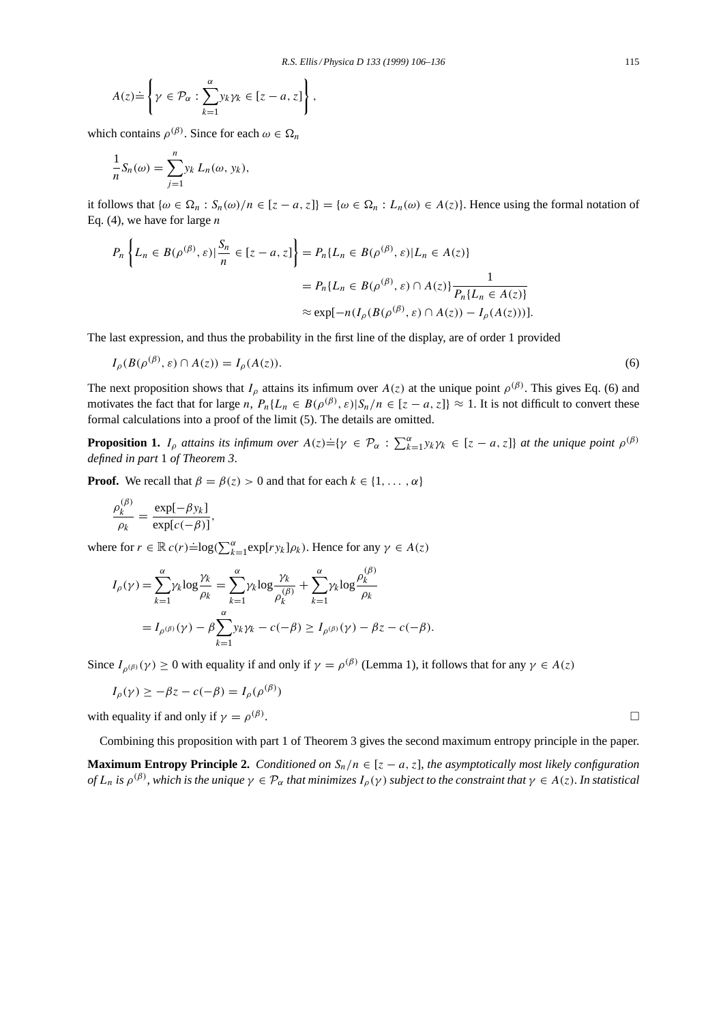$$
A(z) \doteq \left\{ \gamma \in \mathcal{P}_{\alpha} : \sum_{k=1}^{\alpha} y_k \gamma_k \in [z - a, z] \right\}
$$

which contains  $\rho^{(\beta)}$ . Since for each  $\omega \in \Omega_n$ 

$$
\frac{1}{n}S_n(\omega) = \sum_{j=1}^n y_k L_n(\omega, y_k),
$$

it follows that  $\{\omega \in \Omega_n : S_n(\omega)/n \in [z-a, z]\} = \{\omega \in \Omega_n : L_n(\omega) \in A(z)\}.$  Hence using the formal notation of Eq. (4), we have for large  $n$ 

$$
P_n\left\{L_n \in B(\rho^{(\beta)}, \varepsilon) \mid \frac{S_n}{n} \in [z-a, z]\right\} = P_n\{L_n \in B(\rho^{(\beta)}, \varepsilon) | L_n \in A(z)\}
$$

$$
= P_n\{L_n \in B(\rho^{(\beta)}, \varepsilon) \cap A(z)\} \frac{1}{P_n\{L_n \in A(z)\}}
$$

$$
\approx \exp[-n(I_\rho(B(\rho^{(\beta)}, \varepsilon) \cap A(z)) - I_\rho(A(z)))].
$$

,

The last expression, and thus the probability in the first line of the display, are of order 1 provided

$$
I_{\rho}(B(\rho^{(\beta)}, \varepsilon) \cap A(z)) = I_{\rho}(A(z)).
$$
\n<sup>(6)</sup>

The next proposition shows that  $I_\rho$  attains its infimum over  $A(z)$  at the unique point  $\rho^{(\beta)}$ . This gives Eq. (6) and motivates the fact that for large n,  $P_n\{L_n \in B(\rho^{(\beta)}, \varepsilon) | S_n/n \in [z-a, z]\}\approx 1$ . It is not difficult to convert these formal calculations into a proof of the limit (5). The details are omitted.

**Proposition 1.**  $I_\rho$  attains its infimum over  $A(z) \doteq \{ \gamma \in \mathcal{P}_\alpha : \sum_{k=1}^\alpha y_k \gamma_k \in [z-a, z] \}$  at the unique point  $\rho^{(\beta)}$ *defined in part* 1 *of Theorem 3*.

**Proof.** We recall that  $\beta = \beta(z) > 0$  and that for each  $k \in \{1, ..., \alpha\}$ 

$$
\frac{\rho_k^{(\beta)}}{\rho_k} = \frac{\exp[-\beta y_k]}{\exp[c(-\beta)]},
$$

where for  $r \in \mathbb{R} c(r) \doteq \log(\sum_{k=1}^{\alpha} \exp[r y_k] \rho_k)$ . Hence for any  $\gamma \in A(z)$ 

$$
I_{\rho}(\gamma) = \sum_{k=1}^{\alpha} \gamma_k \log \frac{\gamma_k}{\rho_k} = \sum_{k=1}^{\alpha} \gamma_k \log \frac{\gamma_k}{\rho_k(\beta)} + \sum_{k=1}^{\alpha} \gamma_k \log \frac{\rho_k(\beta)}{\rho_k}
$$
  
=  $I_{\rho(\beta)}(\gamma) - \beta \sum_{k=1}^{\alpha} y_k \gamma_k - c(-\beta) \ge I_{\rho(\beta)}(\gamma) - \beta z - c(-\beta).$ 

Since  $I_{\rho(\beta)}(\gamma) \ge 0$  with equality if and only if  $\gamma = \rho^{(\beta)}$  (Lemma 1), it follows that for any  $\gamma \in A(z)$ 

$$
I_{\rho}(\gamma) \ge -\beta z - c(-\beta) = I_{\rho}(\rho^{(\beta)})
$$

with equality if and only if  $\gamma = \rho^{(\beta)}$ .

Combining this proposition with part 1 of Theorem 3 gives the second maximum entropy principle in the paper.

**Maximum Entropy Principle 2.** *Conditioned on*  $S_n/n \in [z - a, z]$ , *the asymptotically most likely configuration of*  $L_n$  *is*  $\rho^{(\beta)}$ , *which is the unique*  $\gamma \in \mathcal{P}_\alpha$  *that minimizes*  $I_\rho(\gamma)$  *subject to the constraint that*  $\gamma \in A(z)$ *. In statistical*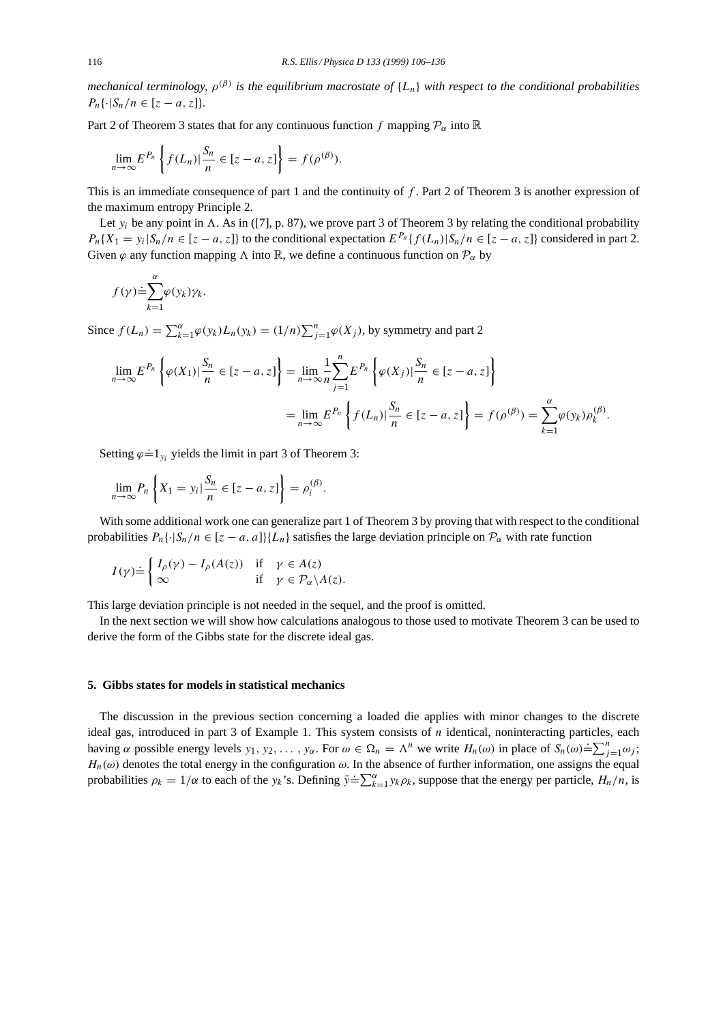*mechanical terminology,*  $\rho^{(\beta)}$  *is the equilibrium macrostate of*  $\{L_n\}$  *with respect to the conditional probabilities*  $P_n\{\cdot|S_n/n \in [z-a, z]\}.$ 

Part 2 of Theorem 3 states that for any continuous function f mapping  $\mathcal{P}_{\alpha}$  into  $\mathbb R$ 

$$
\lim_{n\to\infty} E^{P_n}\left\{f(L_n)|\frac{S_n}{n}\in[z-a,z]\right\}=f(\rho^{(\beta)}).
$$

This is an immediate consequence of part 1 and the continuity of f. Part 2 of Theorem 3 is another expression of the maximum entropy Principle 2.

Let  $y_i$  be any point in  $\Lambda$ . As in ([7], p. 87), we prove part 3 of Theorem 3 by relating the conditional probability  $P_n{X_1 = y_i | S_n/n \in [z - a, z]}$  to the conditional expectation  $E^{P_n}{f(L_n)|S_n/n \in [z - a, z]}$  considered in part 2. Given  $\varphi$  any function mapping  $\Lambda$  into  $\mathbb{R}$ , we define a continuous function on  $\mathcal{P}_{\alpha}$  by

$$
f(\gamma) \dot{=} \sum_{k=1}^{\alpha} \varphi(y_k) \gamma_k.
$$

Since  $f(L_n) = \sum_{k=1}^{\alpha} \varphi(y_k) L_n(y_k) = (1/n) \sum_{j=1}^n \varphi(X_j)$ , by symmetry and part 2

$$
\lim_{n \to \infty} E^{P_n} \left\{ \varphi(X_1) \Big| \frac{S_n}{n} \in [z - a, z] \right\} = \lim_{n \to \infty} \frac{1}{n} \sum_{j=1}^n E^{P_n} \left\{ \varphi(X_j) \Big| \frac{S_n}{n} \in [z - a, z] \right\}
$$
\n
$$
= \lim_{n \to \infty} E^{P_n} \left\{ f(L_n) \Big| \frac{S_n}{n} \in [z - a, z] \right\} = f(\rho^{(\beta)}) = \sum_{k=1}^\infty \varphi(y_k) \rho_k^{(\beta)}.
$$

Setting  $\varphi \doteq 1_{y_i}$  yields the limit in part 3 of Theorem 3:

$$
\lim_{n \to \infty} P_n \left\{ X_1 = y_i | \frac{S_n}{n} \in [z - a, z] \right\} = \rho_i^{(\beta)}.
$$

With some additional work one can generalize part 1 of Theorem 3 by proving that with respect to the conditional probabilities  $P_n\{\cdot|S_n/n \in [z-a, a]\}\{L_n\}$  satisfies the large deviation principle on  $\mathcal{P}_{\alpha}$  with rate function

$$
I(\gamma) \doteq \begin{cases} I_{\rho}(\gamma) - I_{\rho}(A(z)) & \text{if } \gamma \in A(z) \\ \infty & \text{if } \gamma \in \mathcal{P}_{\alpha} \backslash A(z). \end{cases}
$$

This large deviation principle is not needed in the sequel, and the proof is omitted.

In the next section we will show how calculations analogous to those used to motivate Theorem 3 can be used to derive the form of the Gibbs state for the discrete ideal gas.

#### **5. Gibbs states for models in statistical mechanics**

The discussion in the previous section concerning a loaded die applies with minor changes to the discrete ideal gas, introduced in part  $3$  of Example 1. This system consists of  $n$  identical, noninteracting particles, each having  $\alpha$  possible energy levels  $y_1, y_2, ..., y_\alpha$ . For  $\omega \in \Omega_n = \Lambda^n$  we write  $H_n(\omega)$  in place of  $S_n(\omega) = \sum_{j=1}^n \omega_j$ ;  $H_n(\omega)$  denotes the total energy in the configuration  $\omega$ . In the absence of further information, one assigns the equal probabilities  $\rho_k = 1/\alpha$  to each of the  $y_k$ 's. Defining  $\bar{y} = \sum_{k=1}^{\infty} y_k \rho_k$ , suppose that the energy per particle,  $H_n/n$ , is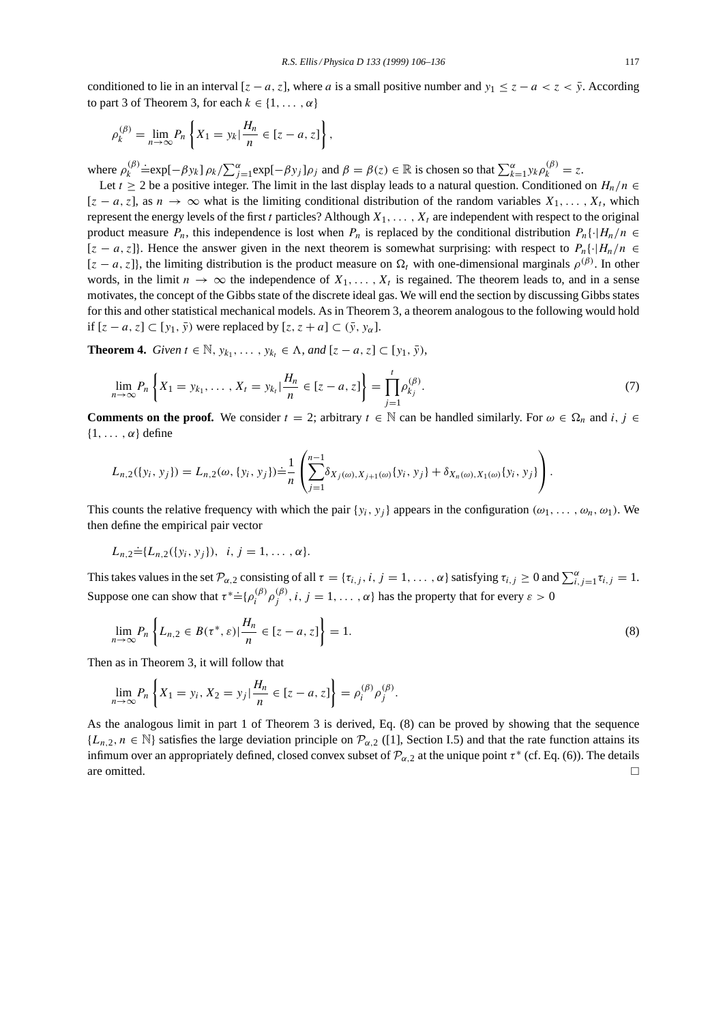conditioned to lie in an interval  $[z - a, z]$ , where a is a small positive number and  $y_1 \leq z - a < z < \bar{y}$ . According to part 3 of Theorem 3, for each  $k \in \{1, \ldots, \alpha\}$ 

$$
\rho_k^{(\beta)} = \lim_{n \to \infty} P_n \left\{ X_1 = y_k | \frac{H_n}{n} \in [z - a, z] \right\},\,
$$

where  $\rho_k^{(\beta)}$  $\Rightarrow$   $\exists$ exp[- $\beta y_k$ ]  $\rho_k / \sum_{j=1}^{\alpha} \exp[-\beta y_j] \rho_j$  and  $\beta = \beta(z) \in \mathbb{R}$  is chosen so that  $\sum_{k=1}^{\alpha} y_k \rho_k^{(\beta)} = z$ .

Let  $t \ge 2$  be a positive integer. The limit in the last display leads to a natural question. Conditioned on  $H_n/n \in$  $[z - a, z]$ , as  $n \to \infty$  what is the limiting conditional distribution of the random variables  $X_1, \ldots, X_t$ , which represent the energy levels of the first t particles? Although  $X_1, \ldots, X_t$  are independent with respect to the original product measure  $P_n$ , this independence is lost when  $P_n$  is replaced by the conditional distribution  $P_n\{\cdot |H_n/n \in$  $[z - a, z]$ . Hence the answer given in the next theorem is somewhat surprising: with respect to  $P_n\{\cdot |H_n/n \in \mathbb{R}\}$  $[z - a, z]$ , the limiting distribution is the product measure on  $\Omega_t$  with one-dimensional marginals  $\rho^{(\beta)}$ . In other words, in the limit  $n \to \infty$  the independence of  $X_1, \ldots, X_t$  is regained. The theorem leads to, and in a sense motivates, the concept of the Gibbs state of the discrete ideal gas. We will end the section by discussing Gibbs states for this and other statistical mechanical models. As in Theorem 3, a theorem analogous to the following would hold if  $[z - a, z] \subset [y_1, \overline{y}]$  were replaced by  $[z, z + a] \subset (\overline{y}, y_\alpha]$ .

**Theorem 4.** *Given*  $t \in \mathbb{N}$ ,  $y_{k_1}, \ldots, y_{k_t} \in \Lambda$ , *and*  $[z - a, z] \subset [y_1, \overline{y})$ ,

$$
\lim_{n \to \infty} P_n \left\{ X_1 = y_{k_1}, \dots, X_t = y_{k_t} \mid \frac{H_n}{n} \in [z - a, z] \right\} = \prod_{j=1}^t \rho_{k_j}^{(\beta)}.
$$
\n(7)

**Comments on the proof.** We consider  $t = 2$ ; arbitrary  $t \in \mathbb{N}$  can be handled similarly. For  $\omega \in \Omega_n$  and i,  $j \in \mathbb{N}$  $\{1,\ldots,\alpha\}$  define

$$
L_{n,2}(\{y_i, y_j\}) = L_{n,2}(\omega, \{y_i, y_j\}) \doteq \frac{1}{n} \left( \sum_{j=1}^{n-1} \delta_{X_j(\omega), X_{j+1}(\omega)} \{y_i, y_j\} + \delta_{X_n(\omega), X_1(\omega)} \{y_i, y_j\} \right).
$$

This counts the relative frequency with which the pair { $y_i$ ,  $y_j$ } appears in the configuration ( $\omega_1, \ldots, \omega_n, \omega_1$ ). We then define the empirical pair vector

$$
L_{n,2} \dot{=} \{L_{n,2}(\{y_i, y_j\}), \ i, j = 1, \ldots, \alpha\}.
$$

This takes values in the set  $\mathcal{P}_{\alpha,2}$  consisting of all  $\tau = {\tau_{i,j}, i, j = 1, ..., \alpha}$  satisfying  $\tau_{i,j} \ge 0$  and  $\sum_{i,j=1}^{\alpha} \tau_{i,j} = 1$ . Suppose one can show that  $\tau^* = {\rho_i^{(\beta)} \rho_j^{(\beta)}}$ ,  $i, j = 1, ..., \alpha$  has the property that for every  $\varepsilon > 0$ 

$$
\lim_{n \to \infty} P_n \left\{ L_{n,2} \in B(\tau^*, \varepsilon) \middle| \frac{H_n}{n} \in [z - a, z] \right\} = 1. \tag{8}
$$

Then as in Theorem 3, it will follow that

$$
\lim_{n \to \infty} P_n \left\{ X_1 = y_i, X_2 = y_j \big| \frac{H_n}{n} \in [z - a, z] \right\} = \rho_i^{(\beta)} \rho_j^{(\beta)}.
$$

As the analogous limit in part 1 of Theorem 3 is derived, Eq. (8) can be proved by showing that the sequence  $\{L_{n,2}, n \in \mathbb{N}\}\$  satisfies the large deviation principle on  $\mathcal{P}_{\alpha,2}$  ([1], Section I.5) and that the rate function attains its infimum over an appropriately defined, closed convex subset of  $\mathcal{P}_{\alpha,2}$  at the unique point  $\tau^*$  (cf. Eq. (6)). The details are omitted.  $\Box$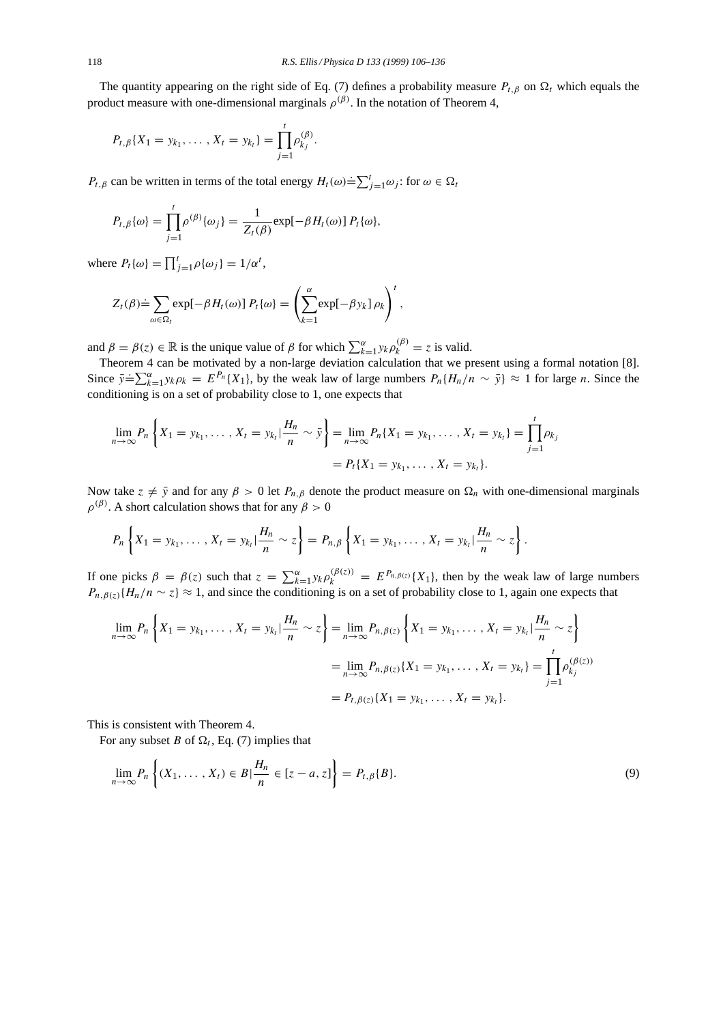The quantity appearing on the right side of Eq. (7) defines a probability measure  $P_{t,\beta}$  on  $\Omega_t$  which equals the product measure with one-dimensional marginals  $\rho^{(\beta)}$ . In the notation of Theorem 4,

$$
P_{t,\beta}\{X_1 = y_{k_1},\ldots,X_t = y_{k_t}\} = \prod_{j=1}^t \rho_{k_j}^{(\beta)}.
$$

 $P_{t,\beta}$  can be written in terms of the total energy  $H_t(\omega) \doteq \sum_{j=1}^t \omega_j$ : for  $\omega \in \Omega_t$ 

$$
P_{t,\beta}\{\omega\} = \prod_{j=1}^t \rho^{(\beta)}\{\omega_j\} = \frac{1}{Z_t(\beta)} \exp[-\beta H_t(\omega)] P_t\{\omega\},
$$

where  $P_t{\{\omega\}} = \prod_{j=1}^t \rho{\{\omega_j\}} = 1/\alpha^t$ ,

$$
Z_t(\beta) \doteq \sum_{\omega \in \Omega_t} \exp[-\beta H_t(\omega)] P_t\{\omega\} = \left(\sum_{k=1}^{\alpha} \exp[-\beta y_k] \rho_k\right)^t,
$$

and  $\beta = \beta(z) \in \mathbb{R}$  is the unique value of  $\beta$  for which  $\sum_{k=1}^{\alpha} y_k \rho_k^{(\beta)} = z$  is valid.

Theorem 4 can be motivated by a non-large deviation calculation that we present using a formal notation [8]. Since  $\bar{y} = \sum_{k=1}^{\alpha} y_k \rho_k = E^{P_n} \{X_1\}$ , by the weak law of large numbers  $P_n \{H_n/n \sim \bar{y}\} \approx 1$  for large n. Since the conditioning is on a set of probability close to 1, one expects that

$$
\lim_{n \to \infty} P_n \left\{ X_1 = y_{k_1}, \dots, X_t = y_{k_t} \mid \frac{H_n}{n} \sim \bar{y} \right\} = \lim_{n \to \infty} P_n \{ X_1 = y_{k_1}, \dots, X_t = y_{k_t} \} = \prod_{j=1}^t \rho_{k_j}
$$
\n
$$
= P_t \{ X_1 = y_{k_1}, \dots, X_t = y_{k_t} \}.
$$

Now take  $z \neq \bar{y}$  and for any  $\beta > 0$  let  $P_{n,\beta}$  denote the product measure on  $\Omega_n$  with one-dimensional marginals  $\rho^{(\beta)}$ . A short calculation shows that for any  $\beta > 0$ 

$$
P_n\left\{X_1 = y_{k_1}, \ldots, X_t = y_{k_t} | \frac{H_n}{n} \sim z\right\} = P_{n,\beta}\left\{X_1 = y_{k_1}, \ldots, X_t = y_{k_t} | \frac{H_n}{n} \sim z\right\}.
$$

If one picks  $\beta = \beta(z)$  such that  $z = \sum_{k=1}^{\alpha} y_k \rho_k^{(\beta(z))} = E^{P_{n,\beta(z)}}\{X_1\}$ , then by the weak law of large numbers  $P_{n,\beta(z)}\{H_n/n \sim z\} \approx 1$ , and since the conditioning is on a set of probability close to 1, again one expects that

$$
\lim_{n \to \infty} P_n \left\{ X_1 = y_{k_1}, \dots, X_t = y_{k_t} | \frac{H_n}{n} \sim z \right\} = \lim_{n \to \infty} P_{n, \beta(z)} \left\{ X_1 = y_{k_1}, \dots, X_t = y_{k_t} | \frac{H_n}{n} \sim z \right\}
$$
\n
$$
= \lim_{n \to \infty} P_{n, \beta(z)} \{ X_1 = y_{k_1}, \dots, X_t = y_{k_t} \} = \prod_{j=1}^t \rho_{k_j}^{(\beta(z))}
$$
\n
$$
= P_{t, \beta(z)} \{ X_1 = y_{k_1}, \dots, X_t = y_{k_t} \}.
$$

This is consistent with Theorem 4.

For any subset B of  $\Omega_t$ , Eq. (7) implies that

$$
\lim_{n \to \infty} P_n \left\{ (X_1, \dots, X_t) \in B \, | \, \frac{H_n}{n} \in [z - a, z] \right\} = P_{t, \beta} \{ B \}. \tag{9}
$$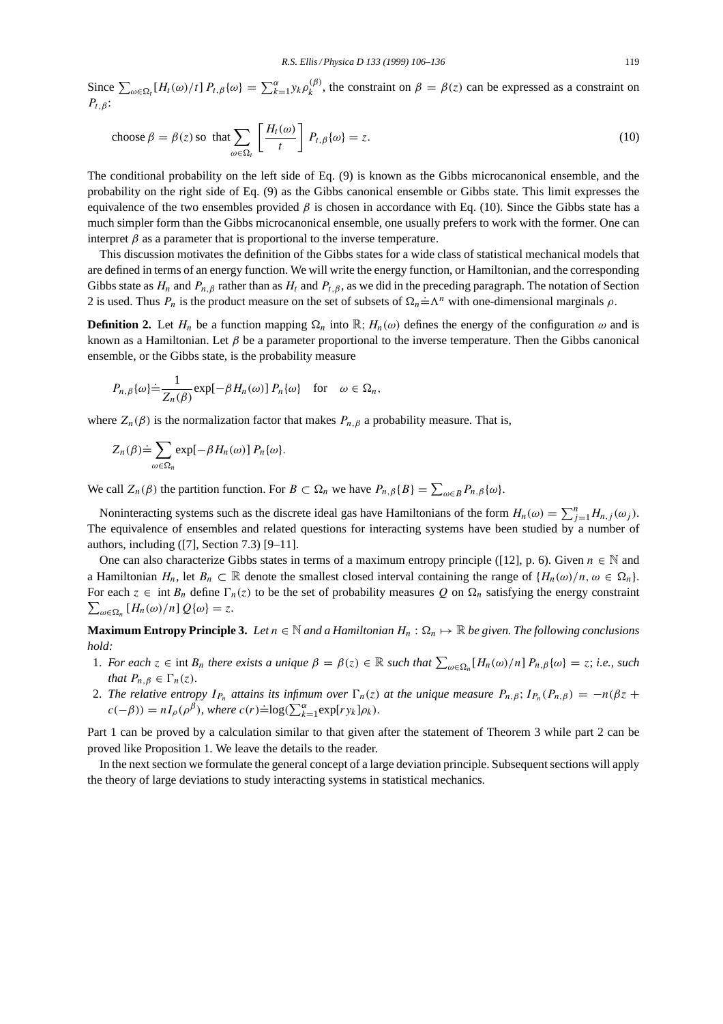Since  $\sum_{\omega \in \Omega_t} [H_t(\omega)/t] P_{t,\beta}(\omega) = \sum_{k=1}^{\alpha} y_k \rho_k^{(\beta)}$ , the constraint on  $\beta = \beta(z)$  can be expressed as a constraint on  $P_{t,\beta}$ :

choose 
$$
\beta = \beta(z)
$$
 so that  $\sum_{\omega \in \Omega_t} \left[ \frac{H_t(\omega)}{t} \right] P_{t,\beta} \{\omega\} = z.$  (10)

The conditional probability on the left side of Eq. (9) is known as the Gibbs microcanonical ensemble, and the probability on the right side of Eq. (9) as the Gibbs canonical ensemble or Gibbs state. This limit expresses the equivalence of the two ensembles provided  $\beta$  is chosen in accordance with Eq. (10). Since the Gibbs state has a much simpler form than the Gibbs microcanonical ensemble, one usually prefers to work with the former. One can interpret  $\beta$  as a parameter that is proportional to the inverse temperature.

This discussion motivates the definition of the Gibbs states for a wide class of statistical mechanical models that are defined in terms of an energy function. We will write the energy function, or Hamiltonian, and the corresponding Gibbs state as  $H_n$  and  $P_{n,\beta}$  rather than as  $H_t$  and  $P_{t,\beta}$ , as we did in the preceding paragraph. The notation of Section 2 is used. Thus  $P_n$  is the product measure on the set of subsets of  $\Omega_n = \Lambda^n$  with one-dimensional marginals  $\rho$ .

**Definition 2.** Let  $H_n$  be a function mapping  $\Omega_n$  into  $\mathbb{R}$ ;  $H_n(\omega)$  defines the energy of the configuration  $\omega$  and is known as a Hamiltonian. Let  $\beta$  be a parameter proportional to the inverse temperature. Then the Gibbs canonical ensemble, or the Gibbs state, is the probability measure

$$
P_{n,\beta}\{\omega\} \doteq \frac{1}{Z_n(\beta)} \exp[-\beta H_n(\omega)] P_n\{\omega\} \text{ for } \omega \in \Omega_n,
$$

where  $Z_n(\beta)$  is the normalization factor that makes  $P_{n,\beta}$  a probability measure. That is,

$$
Z_n(\beta) \doteq \sum_{\omega \in \Omega_n} \exp[-\beta H_n(\omega)] P_n\{\omega\}.
$$

We call  $Z_n(\beta)$  the partition function. For  $B \subset \Omega_n$  we have  $P_{n,\beta}\{B\} = \sum_{\omega \in B} P_{n,\beta}\{\omega\}$ .

Noninteracting systems such as the discrete ideal gas have Hamiltonians of the form  $H_n(\omega) = \sum_{j=1}^n H_{n,j}(\omega_j)$ . The equivalence of ensembles and related questions for interacting systems have been studied by a number of authors, including ([7], Section 7.3) [9–11].

One can also characterize Gibbs states in terms of a maximum entropy principle ([12], p. 6). Given  $n \in \mathbb{N}$  and a Hamiltonian  $H_n$ , let  $B_n \subset \mathbb{R}$  denote the smallest closed interval containing the range of  $\{H_n(\omega)/n, \omega \in \Omega_n\}$ . For each  $z \in \text{int } B_n$  define  $\Gamma_n(z)$  to be the set of probability measures Q on  $\Omega_n$  satisfying the energy constraint  $\sum_{\omega \in \Omega_n} [H_n(\omega)/n] Q(\omega) = z.$ 

**Maximum Entropy Principle 3.** *Let*  $n \in \mathbb{N}$  *and a Hamiltonian*  $H_n : \Omega_n \mapsto \mathbb{R}$  *be given. The following conclusions hold:*

- 1. *For each*  $z \in \text{int } B_n$  *there exists a unique*  $\beta = \beta(z) \in \mathbb{R}$  *such that*  $\sum_{\omega \in \Omega_n} [H_n(\omega)/n] P_{n,\beta} \{\omega\} = z$ ; *i.e., such that*  $P_{n,\beta} \in \Gamma_n(z)$ .
- 2. The relative entropy  $I_{P_n}$  attains its infimum over  $\Gamma_n(z)$  at the unique measure  $P_{n,\beta}$ ;  $I_{P_n}(P_{n,\beta}) = -n(\beta z + \beta z)$  $c(-\beta) = nI_{\rho}(\rho^{\beta})$ , where  $c(r) \doteq log(\sum_{k=1}^{\infty} exp[r y_k] \rho_k)$ .

Part 1 can be proved by a calculation similar to that given after the statement of Theorem 3 while part 2 can be proved like Proposition 1. We leave the details to the reader.

In the next section we formulate the general concept of a large deviation principle. Subsequent sections will apply the theory of large deviations to study interacting systems in statistical mechanics.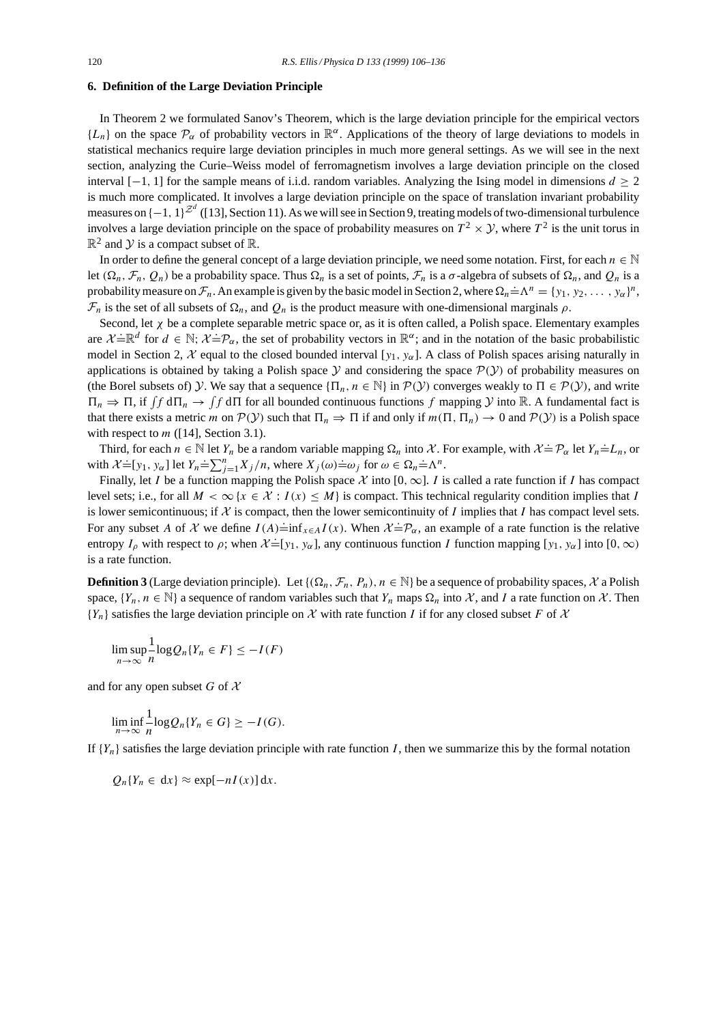# **6. Definition of the Large Deviation Principle**

In Theorem 2 we formulated Sanov's Theorem, which is the large deviation principle for the empirical vectors  ${L_n}$  on the space  $\mathcal{P}_{\alpha}$  of probability vectors in  $\mathbb{R}^{\alpha}$ . Applications of the theory of large deviations to models in statistical mechanics require large deviation principles in much more general settings. As we will see in the next section, analyzing the Curie–Weiss model of ferromagnetism involves a large deviation principle on the closed interval  $[-1, 1]$  for the sample means of i.i.d. random variables. Analyzing the Ising model in dimensions  $d \geq 2$ is much more complicated. It involves a large deviation principle on the space of translation invariant probability measures on  $\{-1, 1\}^{\mathbb{Z}^d}$  ([13], Section 11). As we will see in Section 9, treating models of two-dimensional turbulence involves a large deviation principle on the space of probability measures on  $T^2 \times Y$ , where  $T^2$  is the unit torus in  $\mathbb{R}^2$  and Y is a compact subset of  $\mathbb{R}$ .

In order to define the general concept of a large deviation principle, we need some notation. First, for each  $n \in \mathbb{N}$ let  $(\Omega_n, \mathcal{F}_n, Q_n)$  be a probability space. Thus  $\Omega_n$  is a set of points,  $\mathcal{F}_n$  is a  $\sigma$ -algebra of subsets of  $\Omega_n$ , and  $Q_n$  is a probability measure on  $\mathcal{F}_n$ . An example is given by the basic model in Section 2, where  $\Omega_n = \Lambda^n = \{y_1, y_2, \dots, y_\alpha\}^n$ ,  $\mathcal{F}_n$  is the set of all subsets of  $\Omega_n$ , and  $Q_n$  is the product measure with one-dimensional marginals  $\rho$ .

Second, let  $\chi$  be a complete separable metric space or, as it is often called, a Polish space. Elementary examples are  $\chi \equiv \mathbb{R}^d$  for  $d \in \mathbb{N}$ ;  $\chi \equiv \mathcal{P}_\alpha$ , the set of probability vectors in  $\mathbb{R}^\alpha$ ; and in the notation of the basic probabilistic model in Section 2, X equal to the closed bounded interval [y<sub>1</sub>, y<sub>α</sub>]. A class of Polish spaces arising naturally in applications is obtained by taking a Polish space  $Y$  and considering the space  $P(Y)$  of probability measures on (the Borel subsets of) Y. We say that a sequence  $\{\Pi_n, n \in \mathbb{N}\}\$ in  $\mathcal{P}(Y)$  converges weakly to  $\Pi \in \mathcal{P}(Y)$ , and write  $\Pi_n \to \Pi$ , if  $\int f d\Pi_n \to \int f d\Pi$  for all bounded continuous functions f mapping  $\mathcal Y$  into  $\mathbb R$ . A fundamental fact is that there exists a metric m on  $\mathcal{P}(Y)$  such that  $\Pi_n \Rightarrow \Pi$  if and only if  $m(\Pi, \Pi_n) \to 0$  and  $\mathcal{P}(Y)$  is a Polish space with respect to  $m$  ([14], Section 3.1).

Third, for each  $n \in \mathbb{N}$  let  $Y_n$  be a random variable mapping  $\Omega_n$  into X. For example, with  $\mathcal{X} = \mathcal{P}_{\alpha}$  let  $Y_n = L_n$ , or with  $\mathcal{X} = [y_1, y_\alpha]$  let  $Y_n = \sum_{j=1}^n X_j/n$ , where  $X_j(\omega) = \omega_j$  for  $\omega \in \Omega_n = \Lambda^n$ .

Finally, let I be a function mapping the Polish space X into [0,  $\infty$ ]. I is called a rate function if I has compact level sets; i.e., for all  $M < \infty$  { $x \in \mathcal{X}$  :  $I(x) \leq M$ } is compact. This technical regularity condition implies that I is lower semicontinuous; if  $X$  is compact, then the lower semicontinuity of I implies that I has compact level sets. For any subset A of X we define  $I(A) = \inf_{x \in A} I(x)$ . When  $X = \mathcal{P}_{\alpha}$ , an example of a rate function is the relative entropy  $I_\rho$  with respect to  $\rho$ ; when  $\mathcal{X} = [y_1, y_\alpha]$ , any continuous function I function mapping  $[y_1, y_\alpha]$  into  $[0, \infty)$ is a rate function.

**Definition 3** (Large deviation principle). Let  $\{(\Omega_n, \mathcal{F}_n, P_n), n \in \mathbb{N}\}\$  be a sequence of probability spaces, X a Polish space,  $\{Y_n, n \in \mathbb{N}\}\$ a sequence of random variables such that  $Y_n$  maps  $\Omega_n$  into X, and I a rate function on X. Then  ${Y_n}$  satisfies the large deviation principle on X with rate function I if for any closed subset F of X

$$
\limsup_{n\to\infty}\frac{1}{n}\log Q_n\{Y_n\in F\}\leq -I(F)
$$

and for any open subset G of  $\mathcal X$ 

$$
\liminf_{n\to\infty}\frac{1}{n}\log Q_n\{Y_n\in G\}\geq -I(G).
$$

If  ${Y_n}$  satisfies the large deviation principle with rate function I, then we summarize this by the formal notation

 $Q_n{Y_n \in dx} \approx \exp[-nI(x)]dx.$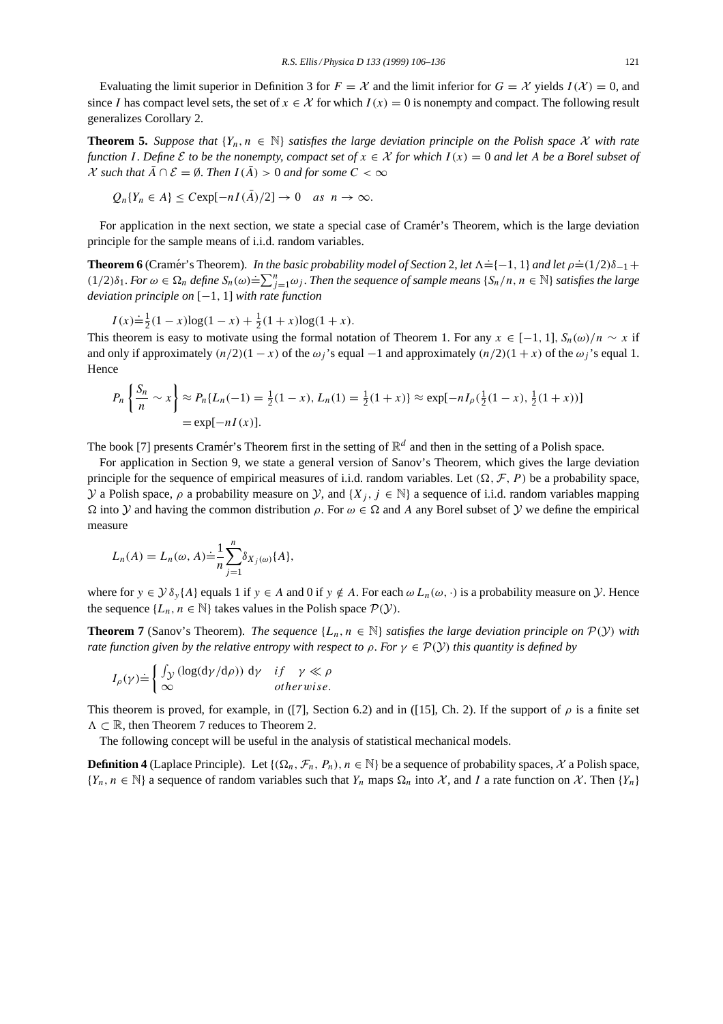Evaluating the limit superior in Definition 3 for  $F = \mathcal{X}$  and the limit inferior for  $G = \mathcal{X}$  yields  $I(\mathcal{X}) = 0$ , and since I has compact level sets, the set of  $x \in \mathcal{X}$  for which  $I(x) = 0$  is nonempty and compact. The following result generalizes Corollary 2.

**Theorem 5.** *Suppose that*  $\{Y_n, n \in \mathbb{N}\}\$  *satisfies the large deviation principle on the Polish space* X *with rate function* I. Define  $\mathcal E$  *to be the nonempty, compact set of*  $x \in \mathcal X$  *for which*  $I(x) = 0$  *and let* A *be a Borel subset of*  $\mathcal X$  *such that*  $\overline{A} \cap \mathcal E = \emptyset$ . *Then*  $I(\overline{A}) > 0$  *and for some*  $C < \infty$ 

 $Q_n{Y_n \in A} < C \exp[-nI(\bar{A})/2] \to 0 \text{ as } n \to \infty.$ 

For application in the next section, we state a special case of Cramér's Theorem, which is the large deviation principle for the sample means of i.i.d. random variables.

**Theorem 6** (Cramér's Theorem). In the basic probability model of Section 2, let  $\Lambda = \{-1, 1\}$  and let  $\rho = (1/2)\delta_{-1} +$ (1/2) $\delta_1$ . *For*  $\omega \in \Omega_n$  define  $S_n(\omega) = \sum_{j=1}^n \omega_j$ . Then the sequence of sample means  $\{S_n/n, n \in \mathbb{N}\}\$  satisfies the large *deviation principle on* [−1, 1] *with rate function*

$$
I(x) \dot{=} \frac{1}{2}(1-x)\log(1-x) + \frac{1}{2}(1+x)\log(1+x).
$$

This theorem is easy to motivate using the formal notation of Theorem 1. For any  $x \in [-1, 1]$ ,  $S_n(\omega)/n \sim x$  if and only if approximately  $(n/2)(1-x)$  of the  $\omega_i$ 's equal  $-1$  and approximately  $(n/2)(1+x)$  of the  $\omega_i$ 's equal 1. Hence

$$
P_n\left\{\frac{S_n}{n} \sim x\right\} \approx P_n\{L_n(-1) = \frac{1}{2}(1-x), L_n(1) = \frac{1}{2}(1+x)\} \approx \exp[-nI_\rho(\frac{1}{2}(1-x), \frac{1}{2}(1+x))]
$$
  
=  $\exp[-nI(x)].$ 

The book [7] presents Cramér's Theorem first in the setting of  $\mathbb{R}^d$  and then in the setting of a Polish space.

For application in Section 9, we state a general version of Sanov's Theorem, which gives the large deviation principle for the sequence of empirical measures of i.i.d. random variables. Let  $(\Omega, \mathcal{F}, P)$  be a probability space, y a Polish space,  $\rho$  a probability measure on y, and  $\{X_i, j \in \mathbb{N}\}\$ a sequence of i.i.d. random variables mapping  $\Omega$  into Y and having the common distribution  $\rho$ . For  $\omega \in \Omega$  and A any Borel subset of Y we define the empirical measure

$$
L_n(A) = L_n(\omega, A) \doteq \frac{1}{n} \sum_{j=1}^n \delta_{X_j(\omega)}\{A\},\,
$$

where for  $y \in \mathcal{Y} \delta_y\{A\}$  equals 1 if  $y \in A$  and 0 if  $y \notin A$ . For each  $\omega L_n(\omega, \cdot)$  is a probability measure on  $\mathcal{Y}$ . Hence the sequence  $\{L_n, n \in \mathbb{N}\}\$  takes values in the Polish space  $\mathcal{P}(y)$ .

**Theorem 7** (Sanov's Theorem). *The sequence*  $\{L_n, n \in \mathbb{N}\}\$  *satisfies the large deviation principle on*  $\mathcal{P}(y)$  *with rate function given by the relative entropy with respect to*  $\rho$ . *For*  $\gamma \in \mathcal{P}(Y)$  *this quantity is defined by* 

$$
I_{\rho}(\gamma) \doteq \begin{cases} \int_{\mathcal{Y}} \left( \log(\mathrm{d}\gamma/\mathrm{d}\rho) \right) \, \mathrm{d}\gamma & \text{if } \gamma \ll \rho \\ \infty & \text{otherwise.} \end{cases}
$$

This theorem is proved, for example, in ([7], Section 6.2) and in ([15], Ch. 2). If the support of  $\rho$  is a finite set  $\Lambda \subset \mathbb{R}$ , then Theorem 7 reduces to Theorem 2.

The following concept will be useful in the analysis of statistical mechanical models.

**Definition 4** (Laplace Principle). Let  $\{(\Omega_n, \mathcal{F}_n, P_n), n \in \mathbb{N}\}\$  be a sequence of probability spaces, X a Polish space,  $\{Y_n, n \in \mathbb{N}\}\$ a sequence of random variables such that  $Y_n$  maps  $\Omega_n$  into X, and I a rate function on X. Then  $\{Y_n\}$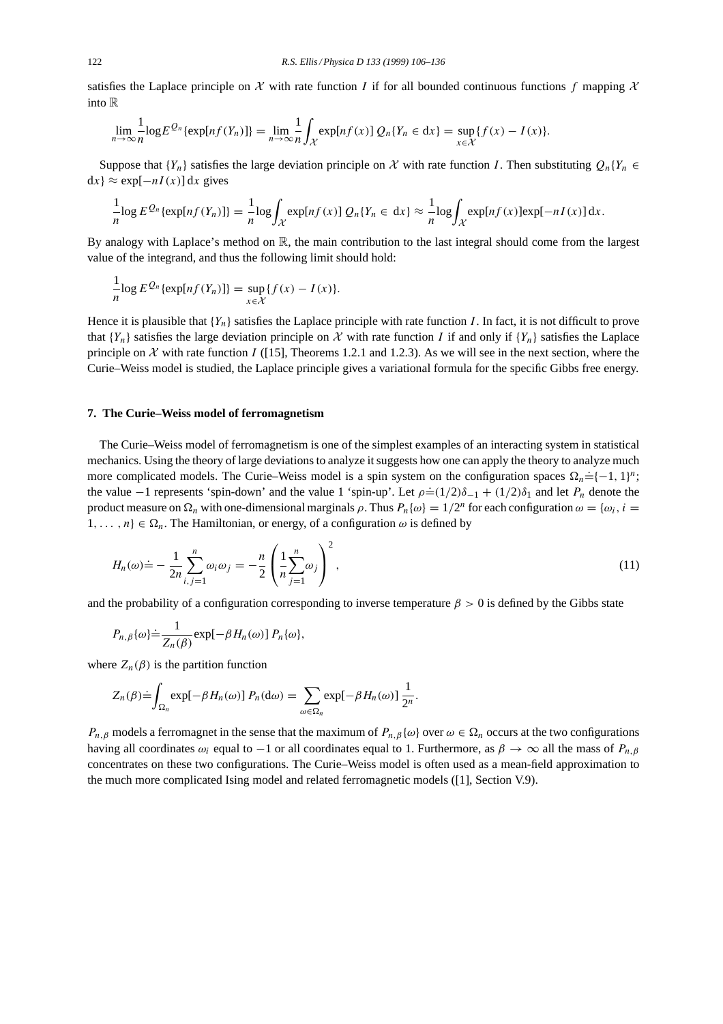satisfies the Laplace principle on X with rate function I if for all bounded continuous functions f mapping  $\mathcal X$ into R

$$
\lim_{n\to\infty}\frac{1}{n}\log E^{Q_n}\{\exp[nf(Y_n)]\}=\lim_{n\to\infty}\frac{1}{n}\int_{\mathcal{X}}\exp[nf(x)]\ Q_n\{Y_n\in\mathrm{d}x\}=\sup_{x\in\mathcal{X}}\{f(x)-I(x)\}.
$$

Suppose that  ${Y_n}$  satisfies the large deviation principle on X with rate function I. Then substituting  $Q_n{Y_n} \in$  $dx$ } ≈ exp $[-nI(x)]dx$  gives

$$
\frac{1}{n}\log E^{Q_n}\{\exp\{nf(Y_n)\}\} = \frac{1}{n}\log\int_{\mathcal{X}}\exp\{nf(x)\}Q_n\{Y_n \in dx\} \approx \frac{1}{n}\log\int_{\mathcal{X}}\exp\{nf(x)\}\exp[-nI(x)]\,dx.
$$

By analogy with Laplace's method on R, the main contribution to the last integral should come from the largest value of the integrand, and thus the following limit should hold:

$$
\frac{1}{n}\log E^{\mathcal{Q}_n}\{\exp[nf(Y_n)]\}=\sup_{x\in\mathcal{X}}\{f(x)-I(x)\}.
$$

Hence it is plausible that  ${Y_n}$  satisfies the Laplace principle with rate function I. In fact, it is not difficult to prove that  ${Y_n}$  satisfies the large deviation principle on X with rate function I if and only if  ${Y_n}$  satisfies the Laplace principle on X with rate function I ([15], Theorems 1.2.1 and 1.2.3). As we will see in the next section, where the Curie–Weiss model is studied, the Laplace principle gives a variational formula for the specific Gibbs free energy.

#### **7. The Curie–Weiss model of ferromagnetism**

The Curie–Weiss model of ferromagnetism is one of the simplest examples of an interacting system in statistical mechanics. Using the theory of large deviations to analyze it suggests how one can apply the theory to analyze much more complicated models. The Curie–Weiss model is a spin system on the configuration spaces  $\Omega_n = \{-1, 1\}^n$ ; the value  $-1$  represents 'spin-down' and the value 1 'spin-up'. Let  $\rho = (1/2)\delta_{-1} + (1/2)\delta_1$  and let  $P_n$  denote the product measure on  $\Omega_n$  with one-dimensional marginals  $\rho$ . Thus  $P_n\{\omega\} = 1/2^n$  for each configuration  $\omega = \{\omega_i, i =$  $1, \ldots, n$ }  $\in \Omega_n$ . The Hamiltonian, or energy, of a configuration  $\omega$  is defined by

$$
H_n(\omega) \doteq -\frac{1}{2n} \sum_{i,j=1}^n \omega_i \omega_j = -\frac{n}{2} \left( \frac{1}{n} \sum_{j=1}^n \omega_j \right)^2,
$$
\n(11)

and the probability of a configuration corresponding to inverse temperature  $\beta > 0$  is defined by the Gibbs state

$$
P_{n,\beta}\{\omega\} \doteq \frac{1}{Z_n(\beta)} \exp[-\beta H_n(\omega)] P_n\{\omega\},\
$$

where  $Z_n(\beta)$  is the partition function

$$
Z_n(\beta) \doteq \int_{\Omega_n} \exp[-\beta H_n(\omega)] P_n(\mathrm{d}\omega) = \sum_{\omega \in \Omega_n} \exp[-\beta H_n(\omega)] \frac{1}{2^n}.
$$

 $P_{n,\beta}$  models a ferromagnet in the sense that the maximum of  $P_{n,\beta}\{\omega\}$  over  $\omega \in \Omega_n$  occurs at the two configurations having all coordinates  $\omega_i$  equal to −1 or all coordinates equal to 1. Furthermore, as  $\beta \to \infty$  all the mass of  $P_{n,\beta}$ concentrates on these two configurations. The Curie–Weiss model is often used as a mean-field approximation to the much more complicated Ising model and related ferromagnetic models ([1], Section V.9).

 $\lambda$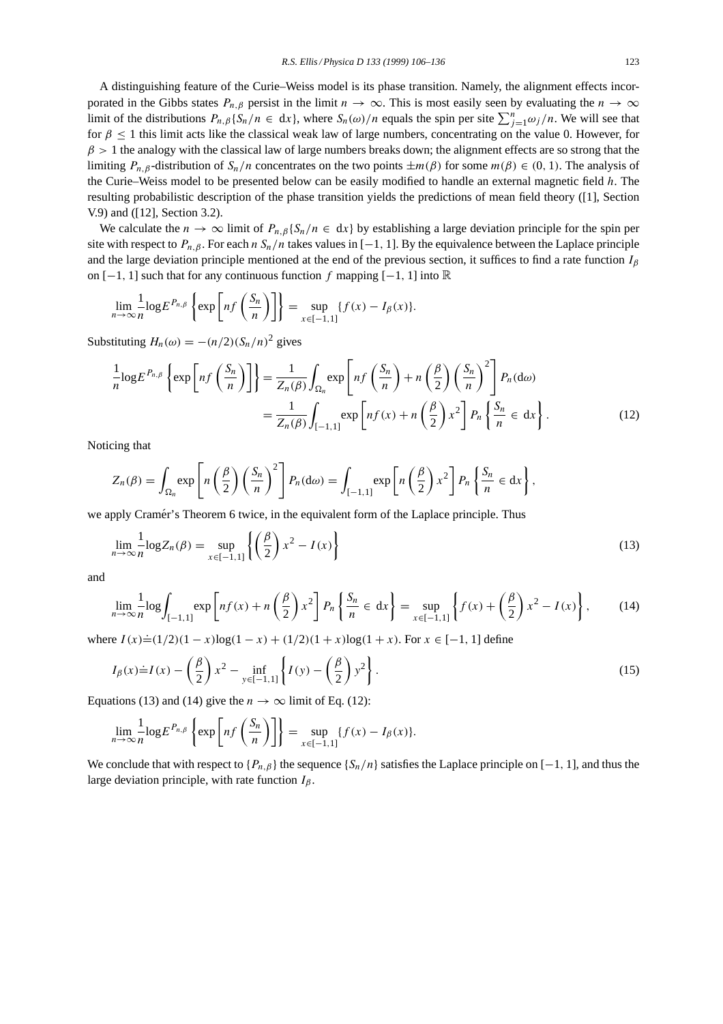A distinguishing feature of the Curie–Weiss model is its phase transition. Namely, the alignment effects incorporated in the Gibbs states  $P_{n,\beta}$  persist in the limit  $n \to \infty$ . This is most easily seen by evaluating the  $n \to \infty$ limit of the distributions  $P_{n,\beta}\{S_n/n \in dx\}$ , where  $S_n(\omega)/n$  equals the spin per site  $\sum_{j=1}^n \omega_j/n$ . We will see that for  $\beta \leq 1$  this limit acts like the classical weak law of large numbers, concentrating on the value 0. However, for  $\beta$  > 1 the analogy with the classical law of large numbers breaks down; the alignment effects are so strong that the limiting  $P_{n,\beta}$ -distribution of  $S_n/n$  concentrates on the two points  $\pm m(\beta)$  for some  $m(\beta) \in (0, 1)$ . The analysis of the Curie–Weiss model to be presented below can be easily modified to handle an external magnetic field h. The resulting probabilistic description of the phase transition yields the predictions of mean field theory ([1], Section V.9) and ([12], Section 3.2).

We calculate the  $n \to \infty$  limit of  $P_{n,\beta}\{S_n/n \in dx\}$  by establishing a large deviation principle for the spin per site with respect to  $P_{n,\beta}$ . For each  $n S_n/n$  takes values in [-1, 1]. By the equivalence between the Laplace principle and the large deviation principle mentioned at the end of the previous section, it suffices to find a rate function  $I_\beta$ on  $[-1, 1]$  such that for any continuous function f mapping  $[-1, 1]$  into ℝ

$$
\lim_{n\to\infty}\frac{1}{n}\log E^{P_{n,\beta}}\left\{\exp\left[nf\left(\frac{S_n}{n}\right)\right]\right\}=\sup_{x\in[-1,1]}\{f(x)-I_\beta(x)\}.
$$

Substituting  $H_n(\omega) = -(n/2)(S_n/n)^2$  gives

$$
\frac{1}{n}\log E^{P_{n,\beta}}\left\{\exp\left[nf\left(\frac{S_n}{n}\right)\right]\right\} = \frac{1}{Z_n(\beta)}\int_{\Omega_n} \exp\left[nf\left(\frac{S_n}{n}\right) + n\left(\frac{\beta}{2}\right)\left(\frac{S_n}{n}\right)^2\right] P_n(\mathrm{d}\omega)
$$
\n
$$
= \frac{1}{Z_n(\beta)}\int_{[-1,1]} \exp\left[nf(x) + n\left(\frac{\beta}{2}\right)x^2\right] P_n\left\{\frac{S_n}{n} \in \mathrm{d}x\right\}.\tag{12}
$$

Noticing that

$$
Z_n(\beta) = \int_{\Omega_n} \exp\left[n\left(\frac{\beta}{2}\right)\left(\frac{S_n}{n}\right)^2\right] P_n(d\omega) = \int_{[-1,1]} \exp\left[n\left(\frac{\beta}{2}\right)x^2\right] P_n\left\{\frac{S_n}{n} \in \mathrm{d}x\right\},\,
$$

we apply Cramér's Theorem 6 twice, in the equivalent form of the Laplace principle. Thus

$$
\lim_{n \to \infty} \frac{1}{n} \log Z_n(\beta) = \sup_{x \in [-1,1]} \left\{ \left( \frac{\beta}{2} \right) x^2 - I(x) \right\} \tag{13}
$$

and

$$
\lim_{n\to\infty}\frac{1}{n}\log\int_{[-1,1]} \exp\left[nf(x) + n\left(\frac{\beta}{2}\right)x^2\right]P_n\left\{\frac{S_n}{n}\in\,\mathrm{d}x\right\} = \sup_{x\in[-1,1]}\left\{f(x) + \left(\frac{\beta}{2}\right)x^2 - I(x)\right\},\tag{14}
$$

where  $I(x) \doteq (1/2)(1-x) \log(1-x) + (1/2)(1+x) \log(1+x)$ . For  $x \in [-1, 1]$  define

$$
I_{\beta}(x) \doteq I(x) - \left(\frac{\beta}{2}\right) x^2 - \inf_{y \in [-1,1]} \left\{ I(y) - \left(\frac{\beta}{2}\right) y^2 \right\}.
$$
 (15)

Equations (13) and (14) give the  $n \to \infty$  limit of Eq. (12):

$$
\lim_{n\to\infty}\frac{1}{n}\log E^{P_{n,\beta}}\left\{\exp\left[nf\left(\frac{S_n}{n}\right)\right]\right\}=\sup_{x\in[-1,1]}{f(x)-I_{\beta}(x)}.
$$

We conclude that with respect to  $\{P_{n,\beta}\}\$  the sequence  $\{S_n/n\}$  satisfies the Laplace principle on [−1, 1], and thus the large deviation principle, with rate function  $I_\beta$ .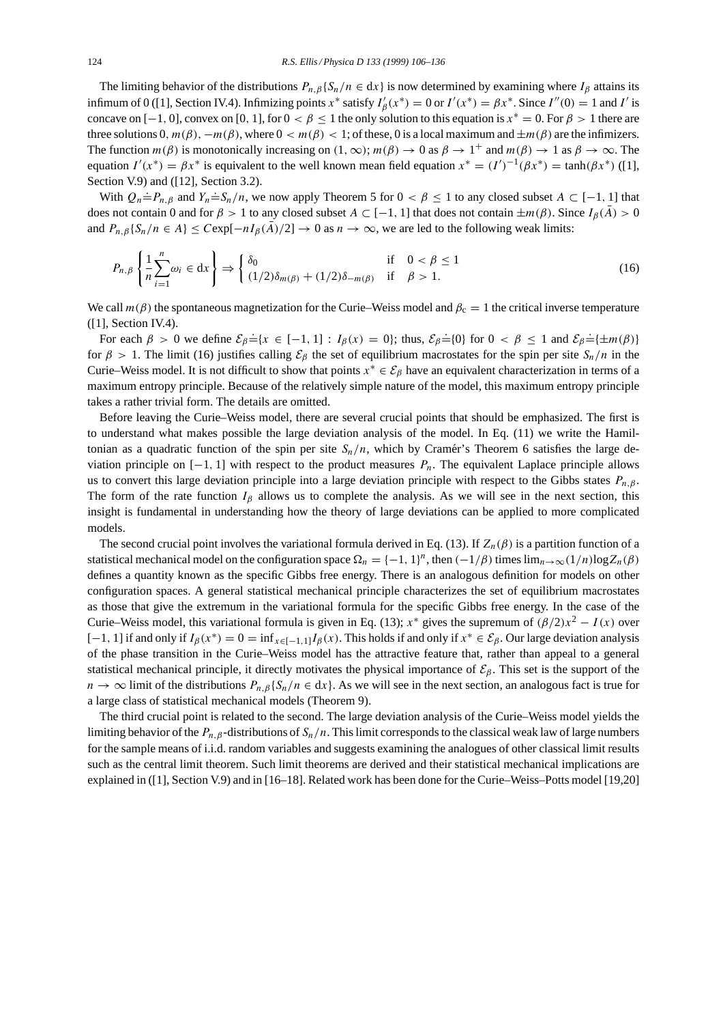The limiting behavior of the distributions  $P_{n,\beta}$ {S<sub>n</sub>/n ∈ dx} is now determined by examining where  $I_\beta$  attains its infimum of 0 ([1], Section IV.4). Infimizing points  $x^*$  satisfy  $I'_{\beta}(x^*) = 0$  or  $I'(x^*) = \beta x^*$ . Since  $I''(0) = 1$  and I' is concave on [−1, 0], convex on [0, 1], for  $0 < \beta \le 1$  the only solution to this equation is  $x^* = 0$ . For  $\beta > 1$  there are three solutions 0,  $m(\beta)$ ,  $-m(\beta)$ , where  $0 < m(\beta) < 1$ ; of these, 0 is a local maximum and  $\pm m(\beta)$  are the infimizers. The function  $m(\beta)$  is monotonically increasing on  $(1, \infty)$ ;  $m(\beta) \to 0$  as  $\beta \to 1^+$  and  $m(\beta) \to 1$  as  $\beta \to \infty$ . The equation  $I'(x^*) = \beta x^*$  is equivalent to the well known mean field equation  $x^* = (I')^{-1}(\beta x^*) = \tanh(\beta x^*)$  ([1], Section V.9) and ([12], Section 3.2).

With  $Q_n = P_{n,\beta}$  and  $Y_n = S_n/n$ , we now apply Theorem 5 for  $0 < \beta \le 1$  to any closed subset  $A \subset [-1, 1]$  that does not contain 0 and for  $\beta > 1$  to any closed subset  $A \subset [-1, 1]$  that does not contain  $\pm m(\beta)$ . Since  $I_\beta(\bar{A}) > 0$ and  $P_{n,\beta}\{S_n/n \in A\} \leq C \exp[-nI_\beta(\bar{A})/2] \to 0$  as  $n \to \infty$ , we are led to the following weak limits:

$$
P_{n,\beta}\left\{\frac{1}{n}\sum_{i=1}^{n}\omega_i \in \mathrm{d}x\right\} \Rightarrow \begin{cases} \delta_0 & \text{if } 0 < \beta \le 1\\ (1/2)\delta_{m(\beta)} + (1/2)\delta_{-m(\beta)} & \text{if } \beta > 1. \end{cases} \tag{16}
$$

We call  $m(\beta)$  the spontaneous magnetization for the Curie–Weiss model and  $\beta_c = 1$  the critical inverse temperature ([1], Section IV.4).

For each  $\beta > 0$  we define  $\mathcal{E}_{\beta} \doteq \{x \in [-1, 1] : I_{\beta}(x) = 0\}$ ; thus,  $\mathcal{E}_{\beta} \doteq \{0\}$  for  $0 < \beta \le 1$  and  $\mathcal{E}_{\beta} \doteq \{\pm m(\beta)\}$ for  $\beta > 1$ . The limit (16) justifies calling  $\mathcal{E}_{\beta}$  the set of equilibrium macrostates for the spin per site  $S_n/n$  in the Curie–Weiss model. It is not difficult to show that points  $x^* \in \mathcal{E}_{\beta}$  have an equivalent characterization in terms of a maximum entropy principle. Because of the relatively simple nature of the model, this maximum entropy principle takes a rather trivial form. The details are omitted.

Before leaving the Curie–Weiss model, there are several crucial points that should be emphasized. The first is to understand what makes possible the large deviation analysis of the model. In Eq. (11) we write the Hamiltonian as a quadratic function of the spin per site  $S_n/n$ , which by Cramer's Theorem 6 satisfies the large deviation principle on  $[-1, 1]$  with respect to the product measures  $P_n$ . The equivalent Laplace principle allows us to convert this large deviation principle into a large deviation principle with respect to the Gibbs states  $P_{n,\beta}$ . The form of the rate function  $I_\beta$  allows us to complete the analysis. As we will see in the next section, this insight is fundamental in understanding how the theory of large deviations can be applied to more complicated models.

The second crucial point involves the variational formula derived in Eq. (13). If  $Z_n(\beta)$  is a partition function of a statistical mechanical model on the configuration space  $\Omega_n = \{-1, 1\}^n$ , then  $(-1/\beta)$  times  $\lim_{n\to\infty}(1/n)\log Z_n(\beta)$ defines a quantity known as the specific Gibbs free energy. There is an analogous definition for models on other configuration spaces. A general statistical mechanical principle characterizes the set of equilibrium macrostates as those that give the extremum in the variational formula for the specific Gibbs free energy. In the case of the Curie–Weiss model, this variational formula is given in Eq. (13);  $x^*$  gives the supremum of  $(\beta/2)x^2 - I(x)$  over  $[-1, 1]$  if and only if  $I_\beta(x^*) = 0 = \inf_{x \in [-1, 1]} I_\beta(x)$ . This holds if and only if  $x^* \in \mathcal{E}_\beta$ . Our large deviation analysis of the phase transition in the Curie–Weiss model has the attractive feature that, rather than appeal to a general statistical mechanical principle, it directly motivates the physical importance of  $\mathcal{E}_{\beta}$ . This set is the support of the  $n \to \infty$  limit of the distributions  $P_{n,\beta}\{S_n/n \in dx\}$ . As we will see in the next section, an analogous fact is true for a large class of statistical mechanical models (Theorem 9).

The third crucial point is related to the second. The large deviation analysis of the Curie–Weiss model yields the limiting behavior of the  $P_{n,\beta}$ -distributions of  $S_n/n$ . This limit corresponds to the classical weak law of large numbers for the sample means of i.i.d. random variables and suggests examining the analogues of other classical limit results such as the central limit theorem. Such limit theorems are derived and their statistical mechanical implications are explained in ([1], Section V.9) and in [16–18]. Related work has been done for the Curie–Weiss–Potts model [19,20]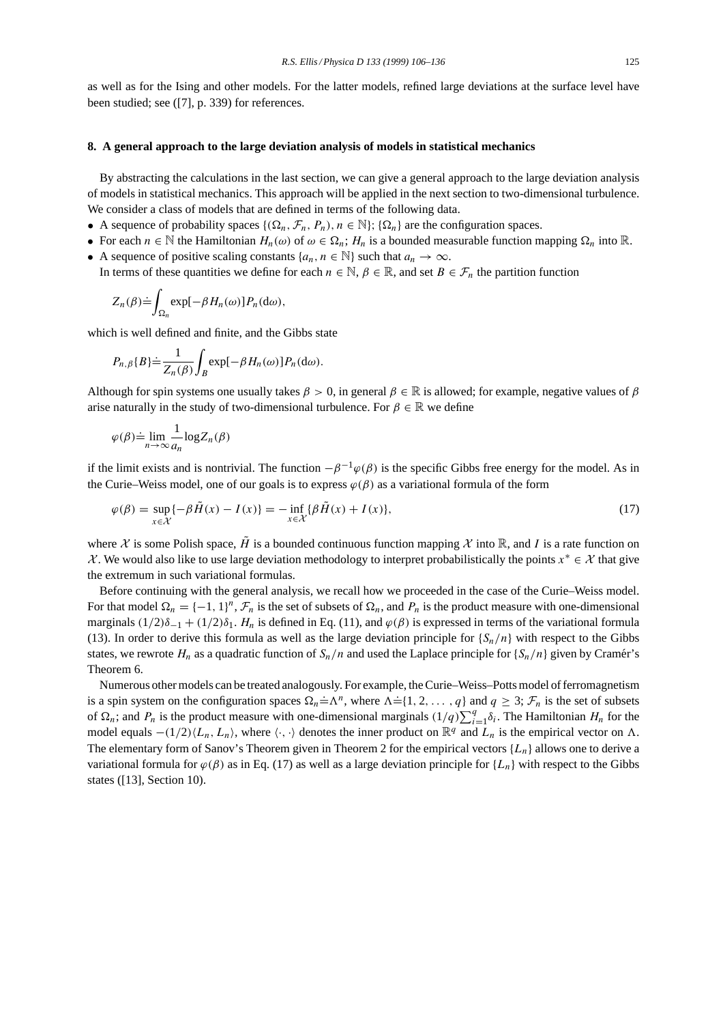as well as for the Ising and other models. For the latter models, refined large deviations at the surface level have been studied; see ([7], p. 339) for references.

#### **8. A general approach to the large deviation analysis of models in statistical mechanics**

By abstracting the calculations in the last section, we can give a general approach to the large deviation analysis of models in statistical mechanics. This approach will be applied in the next section to two-dimensional turbulence. We consider a class of models that are defined in terms of the following data.

- A sequence of probability spaces  $\{(\Omega_n, \mathcal{F}_n, P_n), n \in \mathbb{N}\}\$ ;  $\{\Omega_n\}$  are the configuration spaces.
- For each  $n \in \mathbb{N}$  the Hamiltonian  $H_n(\omega)$  of  $\omega \in \Omega_n$ ;  $H_n$  is a bounded measurable function mapping  $\Omega_n$  into  $\mathbb{R}$ .
- A sequence of positive scaling constants  $\{a_n, n \in \mathbb{N}\}\$  such that  $a_n \to \infty$ .
- In terms of these quantities we define for each  $n \in \mathbb{N}$ ,  $\beta \in \mathbb{R}$ , and set  $B \in \mathcal{F}_n$  the partition function

$$
Z_n(\beta) \dot{=} \int_{\Omega_n} \exp[-\beta H_n(\omega)] P_n(\mathrm{d}\omega),
$$

which is well defined and finite, and the Gibbs state

$$
P_{n,\beta}\{B\} \doteq \frac{1}{Z_n(\beta)} \int_B \exp[-\beta H_n(\omega)] P_n(\mathrm{d}\omega).
$$

Although for spin systems one usually takes  $\beta > 0$ , in general  $\beta \in \mathbb{R}$  is allowed; for example, negative values of  $\beta$ arise naturally in the study of two-dimensional turbulence. For  $\beta \in \mathbb{R}$  we define

$$
\varphi(\beta) \doteq \lim_{n \to \infty} \frac{1}{a_n} \log Z_n(\beta)
$$

if the limit exists and is nontrivial. The function  $-\beta^{-1}\varphi(\beta)$  is the specific Gibbs free energy for the model. As in the Curie–Weiss model, one of our goals is to express  $\varphi(\beta)$  as a variational formula of the form

$$
\varphi(\beta) = \sup_{x \in \mathcal{X}} \{-\beta \tilde{H}(x) - I(x)\} = -\inf_{x \in \mathcal{X}} \{\beta \tilde{H}(x) + I(x)\},\tag{17}
$$

where X is some Polish space,  $\tilde{H}$  is a bounded continuous function mapping X into R, and I is a rate function on X. We would also like to use large deviation methodology to interpret probabilistically the points  $x^* \in \mathcal{X}$  that give the extremum in such variational formulas.

Before continuing with the general analysis, we recall how we proceeded in the case of the Curie–Weiss model. For that model  $\Omega_n = \{-1, 1\}^n$ ,  $\mathcal{F}_n$  is the set of subsets of  $\Omega_n$ , and  $P_n$  is the product measure with one-dimensional marginals  $(1/2)\delta_{-1} + (1/2)\delta_1$ . H<sub>n</sub> is defined in Eq. (11), and  $\varphi(\beta)$  is expressed in terms of the variational formula (13). In order to derive this formula as well as the large deviation principle for  $\{S_n/n\}$  with respect to the Gibbs states, we rewrote  $H_n$  as a quadratic function of  $S_n/n$  and used the Laplace principle for  $\{S_n/n\}$  given by Cramér's Theorem 6.

Numerous other models can be treated analogously. For example, the Curie–Weiss–Potts model of ferromagnetism is a spin system on the configuration spaces  $\Omega_n = \Lambda^n$ , where  $\Lambda = \{1, 2, ..., q\}$  and  $q \geq 3$ ;  $\mathcal{F}_n$  is the set of subsets of  $\Omega_n$ ; and  $P_n$  is the product measure with one-dimensional marginals  $(1/q)\sum_{i=1}^q \delta_i$ . The Hamiltonian  $H_n$  for the model equals  $-(1/2)\langle L_n, L_n \rangle$ , where  $\langle \cdot, \cdot \rangle$  denotes the inner product on  $\mathbb{R}^q$  and  $L_n$  is the empirical vector on  $\Lambda$ . The elementary form of Sanov's Theorem given in Theorem 2 for the empirical vectors  $\{L_n\}$  allows one to derive a variational formula for  $\varphi(\beta)$  as in Eq. (17) as well as a large deviation principle for {L<sub>n</sub>} with respect to the Gibbs states ([13], Section 10).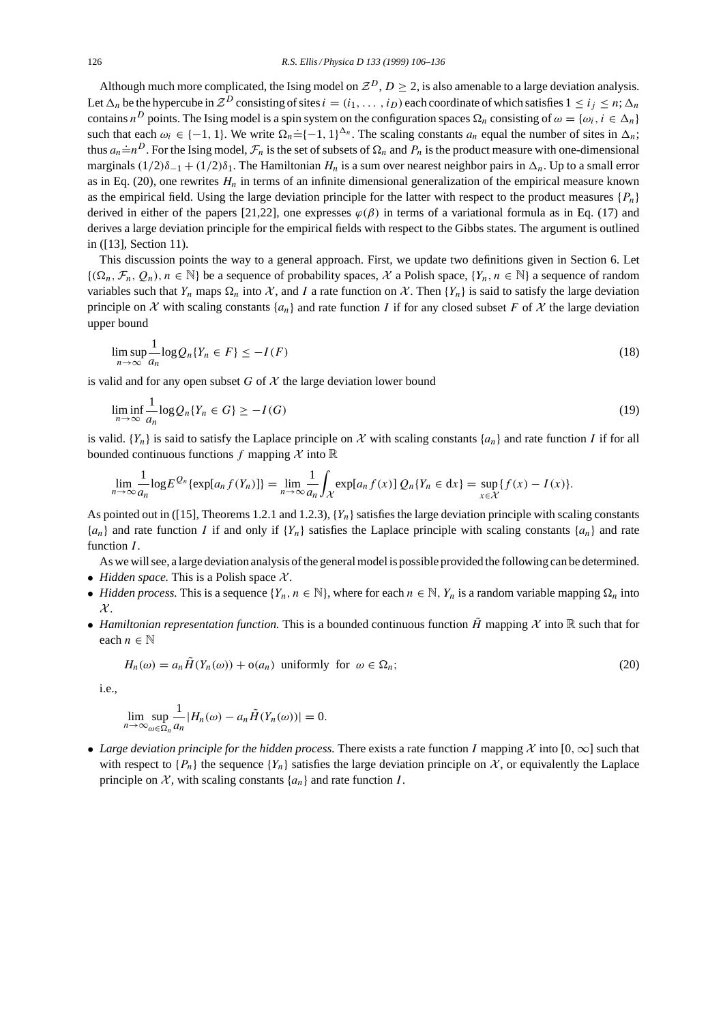Although much more complicated, the Ising model on  $\mathcal{Z}^D$ ,  $D \geq 2$ , is also amenable to a large deviation analysis. Let  $\Delta_n$  be the hypercube in  $\mathcal{Z}^D$  consisting of sites  $i = (i_1, \ldots, i_D)$  each coordinate of which satisfies  $1 \le i_j \le n$ ;  $\Delta_n$ contains  $n^D$  points. The Ising model is a spin system on the configuration spaces  $\Omega_n$  consisting of  $\omega = {\omega_i, i \in \Delta_n}$ such that each  $\omega_i \in \{-1, 1\}$ . We write  $\Omega_n = \{-1, 1\}^{\Delta_n}$ . The scaling constants  $a_n$  equal the number of sites in  $\Delta_n$ ; thus  $a_n = n^D$ . For the Ising model,  $\mathcal{F}_n$  is the set of subsets of  $\Omega_n$  and  $P_n$  is the product measure with one-dimensional marginals  $(1/2)\delta_{-1} + (1/2)\delta_1$ . The Hamiltonian  $H_n$  is a sum over nearest neighbor pairs in  $\Delta_n$ . Up to a small error as in Eq. (20), one rewrites  $H_n$  in terms of an infinite dimensional generalization of the empirical measure known as the empirical field. Using the large deviation principle for the latter with respect to the product measures  $\{P_n\}$ derived in either of the papers [21,22], one expresses  $\varphi(\beta)$  in terms of a variational formula as in Eq. (17) and derives a large deviation principle for the empirical fields with respect to the Gibbs states. The argument is outlined in ([13], Section 11).

This discussion points the way to a general approach. First, we update two definitions given in Section 6. Let  $\{(\Omega_n, \mathcal{F}_n, Q_n), n \in \mathbb{N}\}\$  be a sequence of probability spaces, X a Polish space,  $\{Y_n, n \in \mathbb{N}\}\$ a sequence of random variables such that  $Y_n$  maps  $\Omega_n$  into X, and I a rate function on X. Then  $\{Y_n\}$  is said to satisfy the large deviation principle on X with scaling constants  $\{a_n\}$  and rate function I if for any closed subset F of X the large deviation upper bound

$$
\limsup_{n \to \infty} \frac{1}{a_n} \log Q_n \{ Y_n \in F \} \le -I(F) \tag{18}
$$

is valid and for any open subset G of  $\mathcal X$  the large deviation lower bound

$$
\liminf_{n \to \infty} \frac{1}{a_n} \log Q_n \{ Y_n \in G \} \ge -I(G) \tag{19}
$$

is valid.  $\{Y_n\}$  is said to satisfy the Laplace principle on X with scaling constants  $\{a_n\}$  and rate function I if for all bounded continuous functions f mapping  $\mathcal X$  into  $\mathbb R$ 

$$
\lim_{n\to\infty}\frac{1}{a_n}\log E^{\mathcal{Q}_n}\{\exp[a_n f(Y_n)]\}=\lim_{n\to\infty}\frac{1}{a_n}\int_{\mathcal{X}}\exp[a_n f(x)]\mathcal{Q}_n\{Y_n\in\mathrm{d}x\}=\sup_{x\in\mathcal{X}}\{f(x)-I(x)\}.
$$

As pointed out in ([15], Theorems 1.2.1 and 1.2.3),  $\{Y_n\}$  satisfies the large deviation principle with scaling constants  ${a_n}$  and rate function I if and only if  ${Y_n}$  satisfies the Laplace principle with scaling constants  ${a_n}$  and rate function  $I$ .

As we will see, a large deviation analysis of the general model is possible provided the following can be determined.

- *Hidden space*. This is a Polish space  $X$ .
- *Hidden process.* This is a sequence  $\{Y_n, n \in \mathbb{N}\}\$ , where for each  $n \in \mathbb{N}$ ,  $Y_n$  is a random variable mapping  $\Omega_n$  into  $\mathcal{X}.$
- *Hamiltonian representation function*. This is a bounded continuous function  $\tilde{H}$  mapping X into R such that for each  $n \in \mathbb{N}$

$$
H_n(\omega) = a_n \tilde{H}(Y_n(\omega)) + o(a_n) \text{ uniformly for } \omega \in \Omega_n; \tag{20}
$$

i.e.,

$$
\lim_{n\to\infty}\sup_{\omega\in\Omega_n}\frac{1}{a_n}|H_n(\omega)-a_n\tilde{H}(Y_n(\omega))|=0.
$$

• *Large deviation principle for the hidden process.* There exists a rate function I mapping X into  $[0, \infty]$  such that with respect to  $\{P_n\}$  the sequence  $\{Y_n\}$  satisfies the large deviation principle on X, or equivalently the Laplace principle on  $X$ , with scaling constants  $\{a_n\}$  and rate function  $I$ .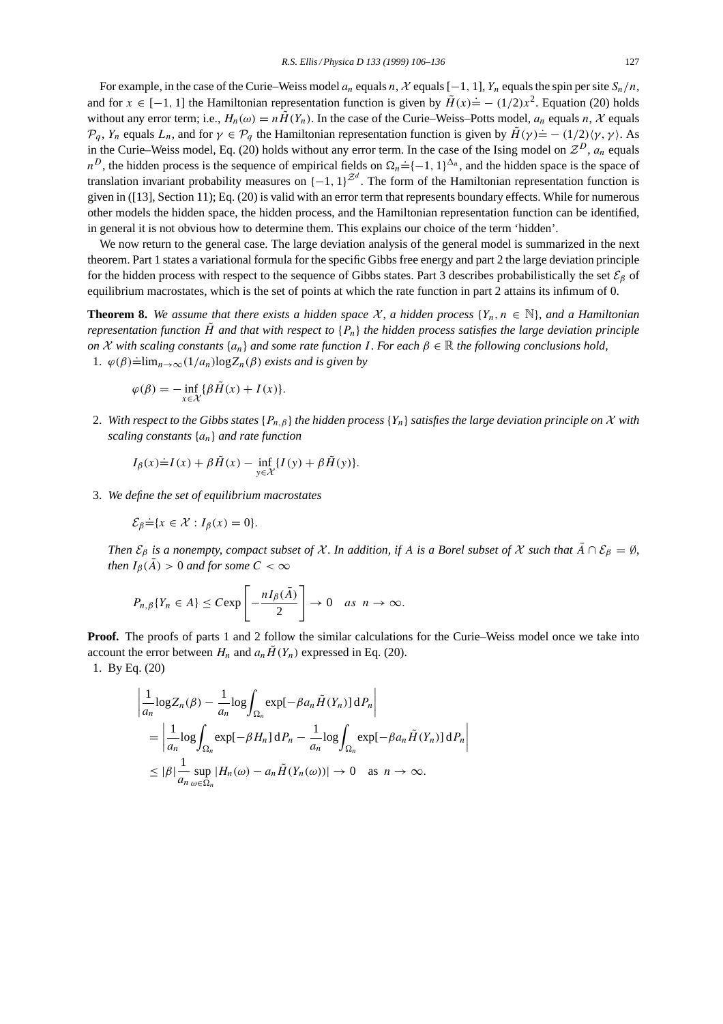For example, in the case of the Curie–Weiss model  $a_n$  equals n, X equals [−1, 1], Y<sub>n</sub> equals the spin per site  $S_n/n$ , and for  $x \in [-1, 1]$  the Hamiltonian representation function is given by  $\tilde{H}(x) = -(1/2)x^2$ . Equation (20) holds without any error term; i.e.,  $H_n(\omega) = n\tilde{H}(Y_n)$ . In the case of the Curie–Weiss–Potts model,  $a_n$  equals n, X equals  $\mathcal{P}_q$ ,  $Y_n$  equals  $L_n$ , and for  $\gamma \in \mathcal{P}_q$  the Hamiltonian representation function is given by  $\tilde{H}(\gamma) = -\frac{1}{2}(\gamma, \gamma)$ . As in the Curie–Weiss model, Eq. (20) holds without any error term. In the case of the Ising model on  $\mathcal{Z}^D$ ,  $a_n$  equals n the extreme weaks measured  $\sum_{i=1}^n a_i$  (20) notes while a any error terms in the extension of empirical fields on  $\Omega_n = \{-1, 1\}^{\Delta_n}$ , and the hidden space is the space of translation invariant probability measures on  $\{-1, 1\}^{\mathbb{Z}^d}$ . The form of the Hamiltonian representation function is given in ([13], Section 11); Eq. (20) is valid with an error term that represents boundary effects. While for numerous other models the hidden space, the hidden process, and the Hamiltonian representation function can be identified, in general it is not obvious how to determine them. This explains our choice of the term 'hidden'.

We now return to the general case. The large deviation analysis of the general model is summarized in the next theorem. Part 1 states a variational formula for the specific Gibbs free energy and part 2 the large deviation principle for the hidden process with respect to the sequence of Gibbs states. Part 3 describes probabilistically the set  $\mathcal{E}_{\beta}$  of equilibrium macrostates, which is the set of points at which the rate function in part 2 attains its infimum of 0.

**Theorem 8.** *We assume that there exists a hidden space*  $\mathcal{X}$ , *a hidden process*  $\{Y_n, n \in \mathbb{N}\}$ , *and a Hamiltonian representation function*  $\tilde{H}$  *and that with respect to*  $\{P_n\}$  *the hidden process satisfies the large deviation principle on*  $X$  *with scaling constants*  $\{a_n\}$  *and some rate function* I. *For each*  $\beta \in \mathbb{R}$  *the following conclusions hold,* 1.  $\varphi(\beta) = \lim_{n \to \infty} (1/a_n) \log Z_n(\beta)$  *exists and is given by* 

$$
\varphi(\beta) = -\inf_{x \in \mathcal{X}} \{\beta \tilde{H}(x) + I(x)\}.
$$

2. With respect to the Gibbs states  $\{P_{n,\beta}\}$  the hidden process  $\{Y_n\}$  satisfies the large deviation principle on X with *scaling constants* {an} *and rate function*

$$
I_{\beta}(x) \dot{=} I(x) + \beta \tilde{H}(x) - \inf_{y \in \mathcal{X}} \{ I(y) + \beta \tilde{H}(y) \}.
$$

3. *We define the set of equilibrium macrostates*

$$
\mathcal{E}_{\beta} \dot{=} \{x \in \mathcal{X} : I_{\beta}(x) = 0\}.
$$

*Then*  $\mathcal{E}_{\beta}$  *is a nonempty, compact subset of* X. *In addition, if* A *is a Borel subset of* X *such that*  $\bar{A} \cap \mathcal{E}_{\beta} = \emptyset$ , *then*  $I_\beta(\bar{A}) > 0$  *and for some*  $C < \infty$ 

$$
P_{n,\beta}\{Y_n \in A\} \leq C \exp\left[-\frac{nI_{\beta}(\bar{A})}{2}\right] \to 0 \quad \text{as} \ \ n \to \infty.
$$

**Proof.** The proofs of parts 1 and 2 follow the similar calculations for the Curie–Weiss model once we take into account the error between  $H_n$  and  $a_n\tilde{H}(Y_n)$  expressed in Eq. (20).

1. By Eq. (20)

$$
\begin{aligned}\n&\left|\frac{1}{a_n}\log Z_n(\beta) - \frac{1}{a_n}\log \int_{\Omega_n} \exp[-\beta a_n \tilde{H}(Y_n)] \,dP_n\right| \\
&= \left|\frac{1}{a_n}\log \int_{\Omega_n} \exp[-\beta H_n] \,dP_n - \frac{1}{a_n}\log \int_{\Omega_n} \exp[-\beta a_n \tilde{H}(Y_n)] \,dP_n\right| \\
&\leq |\beta| \frac{1}{a_n} \sup_{\omega \in \Omega_n} |H_n(\omega) - a_n \tilde{H}(Y_n(\omega))| \to 0 \quad \text{as } n \to \infty.\n\end{aligned}
$$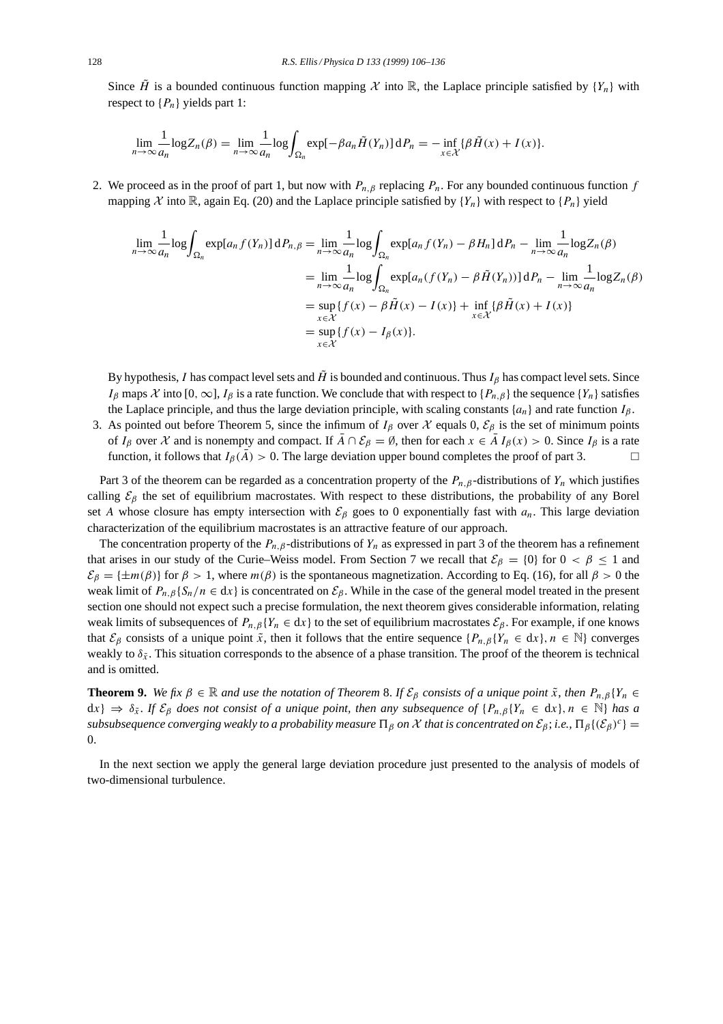Since  $\tilde{H}$  is a bounded continuous function mapping X into R, the Laplace principle satisfied by  $\{Y_n\}$  with respect to  $\{P_n\}$  yields part 1:

$$
\lim_{n\to\infty}\frac{1}{a_n}\log Z_n(\beta)=\lim_{n\to\infty}\frac{1}{a_n}\log\int_{\Omega_n}\exp[-\beta a_n\tilde{H}(Y_n)]\,\mathrm{d}P_n=-\inf_{x\in\mathcal{X}}\{\beta\tilde{H}(x)+I(x)\}.
$$

2. We proceed as in the proof of part 1, but now with  $P_{n,\beta}$  replacing  $P_n$ . For any bounded continuous function f mapping X into R, again Eq. (20) and the Laplace principle satisfied by  ${Y_n}$  with respect to  ${P_n}$  yield

$$
\lim_{n \to \infty} \frac{1}{a_n} \log \int_{\Omega_n} \exp[a_n f(Y_n)] dP_{n,\beta} = \lim_{n \to \infty} \frac{1}{a_n} \log \int_{\Omega_n} \exp[a_n f(Y_n) - \beta H_n] dP_n - \lim_{n \to \infty} \frac{1}{a_n} \log Z_n(\beta)
$$
  
\n
$$
= \lim_{n \to \infty} \frac{1}{a_n} \log \int_{\Omega_n} \exp[a_n (f(Y_n) - \beta \tilde{H}(Y_n))] dP_n - \lim_{n \to \infty} \frac{1}{a_n} \log Z_n(\beta)
$$
  
\n
$$
= \sup_{x \in \mathcal{X}} \{f(x) - \beta \tilde{H}(x) - I(x)\} + \inf_{x \in \mathcal{X}} \{\beta \tilde{H}(x) + I(x)\}
$$
  
\n
$$
= \sup_{x \in \mathcal{X}} \{f(x) - I_\beta(x)\}.
$$

By hypothesis, I has compact level sets and  $\hat{H}$  is bounded and continuous. Thus I<sub>β</sub> has compact level sets. Since I<sub>β</sub> maps X into [0, ∞], I<sub>β</sub> is a rate function. We conclude that with respect to { $P_{n, \beta}$ } the sequence { $Y_n$ } satisfies the Laplace principle, and thus the large deviation principle, with scaling constants  $\{a_n\}$  and rate function  $I_\beta$ .

3. As pointed out before Theorem 5, since the infimum of  $I_\beta$  over  $\mathcal X$  equals 0,  $\mathcal E_\beta$  is the set of minimum points of  $I_\beta$  over X and is nonempty and compact. If  $\overline{A} \cap \mathcal{E}_\beta = \emptyset$ , then for each  $x \in \overline{A} I_\beta(x) > 0$ . Since  $I_\beta$  is a rate function, it follows that  $I_\beta(A) > 0$ . The large deviation upper bound completes the proof of part 3.

Part 3 of the theorem can be regarded as a concentration property of the  $P_{n,\beta}$ -distributions of  $Y_n$  which justifies calling  $\mathcal{E}_{\beta}$  the set of equilibrium macrostates. With respect to these distributions, the probability of any Borel set A whose closure has empty intersection with  $\mathcal{E}_{\beta}$  goes to 0 exponentially fast with  $a_n$ . This large deviation characterization of the equilibrium macrostates is an attractive feature of our approach.

The concentration property of the  $P_{n,\beta}$ -distributions of  $Y_n$  as expressed in part 3 of the theorem has a refinement that arises in our study of the Curie–Weiss model. From Section 7 we recall that  $\mathcal{E}_{\beta} = \{0\}$  for  $0 < \beta \leq 1$  and  $\mathcal{E}_{\beta} = \{\pm m(\beta)\}\$  for  $\beta > 1$ , where  $m(\beta)$  is the spontaneous magnetization. According to Eq. (16), for all  $\beta > 0$  the weak limit of  $P_{n,\beta} \{ S_n/n \in dx \}$  is concentrated on  $\mathcal{E}_{\beta}$ . While in the case of the general model treated in the present section one should not expect such a precise formulation, the next theorem gives considerable information, relating weak limits of subsequences of  $P_{n,\beta}\{Y_n \in dx\}$  to the set of equilibrium macrostates  $\mathcal{E}_{\beta}$ . For example, if one knows that  $\mathcal{E}_{\beta}$  consists of a unique point  $\tilde{x}$ , then it follows that the entire sequence  $\{P_{n,\beta}\{Y_n \in dx\}, n \in \mathbb{N}\}\)$  converges weakly to  $\delta_{\bar{x}}$ . This situation corresponds to the absence of a phase transition. The proof of the theorem is technical and is omitted.

**Theorem 9.** *We fix*  $\beta \in \mathbb{R}$  *and use the notation of Theorem 8. If*  $\mathcal{E}_{\beta}$  *consists of a unique point*  $\tilde{x}$ *, then*  $P_{n,\beta}\{Y_n \in \mathbb{R}^d\}$  $dx$ }  $\Rightarrow \delta_{\tilde{x}}$ . *If*  $\mathcal{E}_{\beta}$  *does not consist of a unique point, then any subsequence of*  $\{P_{n,\beta}\{Y_n \in dx\}, n \in \mathbb{N}\}\$  *has a subsubsequence converging weakly to a probability measure*  $\Pi_\beta$  *on* X *that is concentrated on*  $\mathcal{E}_\beta$ ; *i.e.*,  $\Pi_\beta$ { $(\mathcal{E}_\beta)^c$ } = 0.

In the next section we apply the general large deviation procedure just presented to the analysis of models of two-dimensional turbulence.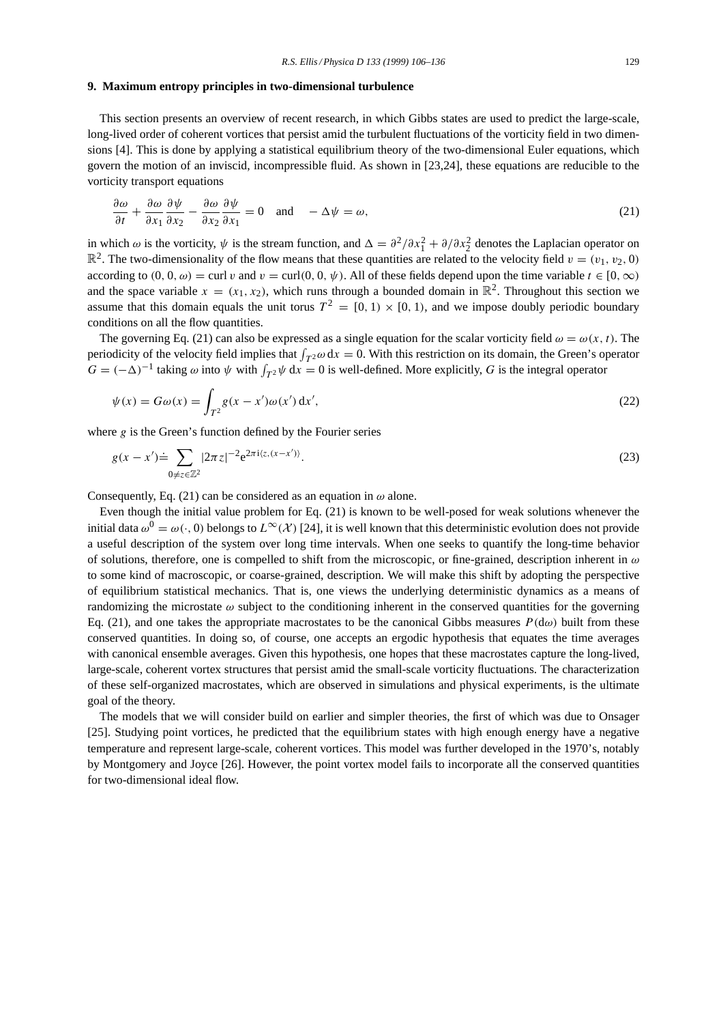#### **9. Maximum entropy principles in two-dimensional turbulence**

This section presents an overview of recent research, in which Gibbs states are used to predict the large-scale, long-lived order of coherent vortices that persist amid the turbulent fluctuations of the vorticity field in two dimensions [4]. This is done by applying a statistical equilibrium theory of the two-dimensional Euler equations, which govern the motion of an inviscid, incompressible fluid. As shown in [23,24], these equations are reducible to the vorticity transport equations

$$
\frac{\partial \omega}{\partial t} + \frac{\partial \omega}{\partial x_1} \frac{\partial \psi}{\partial x_2} - \frac{\partial \omega}{\partial x_2} \frac{\partial \psi}{\partial x_1} = 0 \quad \text{and} \quad -\Delta \psi = \omega,
$$
\n(21)

in which  $\omega$  is the vorticity,  $\psi$  is the stream function, and  $\Delta = \frac{\partial^2}{\partial x_1^2} + \frac{\partial}{\partial x_2^2}$  denotes the Laplacian operator on  $\mathbb{R}^2$ . The two-dimensionality of the flow means that these quantities are related to the velocity field  $v = (v_1, v_2, 0)$ according to  $(0, 0, \omega) = \text{curl } v$  and  $v = \text{curl}(0, 0, \psi)$ . All of these fields depend upon the time variable  $t \in [0, \infty)$ and the space variable  $x = (x_1, x_2)$ , which runs through a bounded domain in  $\mathbb{R}^2$ . Throughout this section we assume that this domain equals the unit torus  $T^2 = [0, 1) \times [0, 1)$ , and we impose doubly periodic boundary conditions on all the flow quantities.

The governing Eq. (21) can also be expressed as a single equation for the scalar vorticity field  $\omega = \omega(x, t)$ . The periodicity of the velocity field implies that  $\int_{T^2} \omega \, dx = 0$ . With this restriction on its domain, the Green's operator  $G = (-\Delta)^{-1}$  taking  $\omega$  into  $\psi$  with  $\int_{T^2} \psi \, dx = 0$  is well-defined. More explicitly, G is the integral operator

$$
\psi(x) = G\omega(x) = \int_{T^2} g(x - x')\omega(x') dx',
$$
\n(22)

where  $g$  is the Green's function defined by the Fourier series

$$
g(x - x') \doteq \sum_{0 \neq z \in \mathbb{Z}^2} |2\pi z|^{-2} e^{2\pi i \langle z, (x - x') \rangle}.
$$
 (23)

Consequently, Eq. (21) can be considered as an equation in  $\omega$  alone.

Even though the initial value problem for Eq. (21) is known to be well-posed for weak solutions whenever the initial data  $\omega^0 = \omega(\cdot, 0)$  belongs to  $L^{\infty}(\mathcal{X})$  [24], it is well known that this deterministic evolution does not provide a useful description of the system over long time intervals. When one seeks to quantify the long-time behavior of solutions, therefore, one is compelled to shift from the microscopic, or fine-grained, description inherent in  $\omega$ to some kind of macroscopic, or coarse-grained, description. We will make this shift by adopting the perspective of equilibrium statistical mechanics. That is, one views the underlying deterministic dynamics as a means of randomizing the microstate  $\omega$  subject to the conditioning inherent in the conserved quantities for the governing Eq. (21), and one takes the appropriate macrostates to be the canonical Gibbs measures  $P(d\omega)$  built from these conserved quantities. In doing so, of course, one accepts an ergodic hypothesis that equates the time averages with canonical ensemble averages. Given this hypothesis, one hopes that these macrostates capture the long-lived, large-scale, coherent vortex structures that persist amid the small-scale vorticity fluctuations. The characterization of these self-organized macrostates, which are observed in simulations and physical experiments, is the ultimate goal of the theory.

The models that we will consider build on earlier and simpler theories, the first of which was due to Onsager [25]. Studying point vortices, he predicted that the equilibrium states with high enough energy have a negative temperature and represent large-scale, coherent vortices. This model was further developed in the 1970's, notably by Montgomery and Joyce [26]. However, the point vortex model fails to incorporate all the conserved quantities for two-dimensional ideal flow.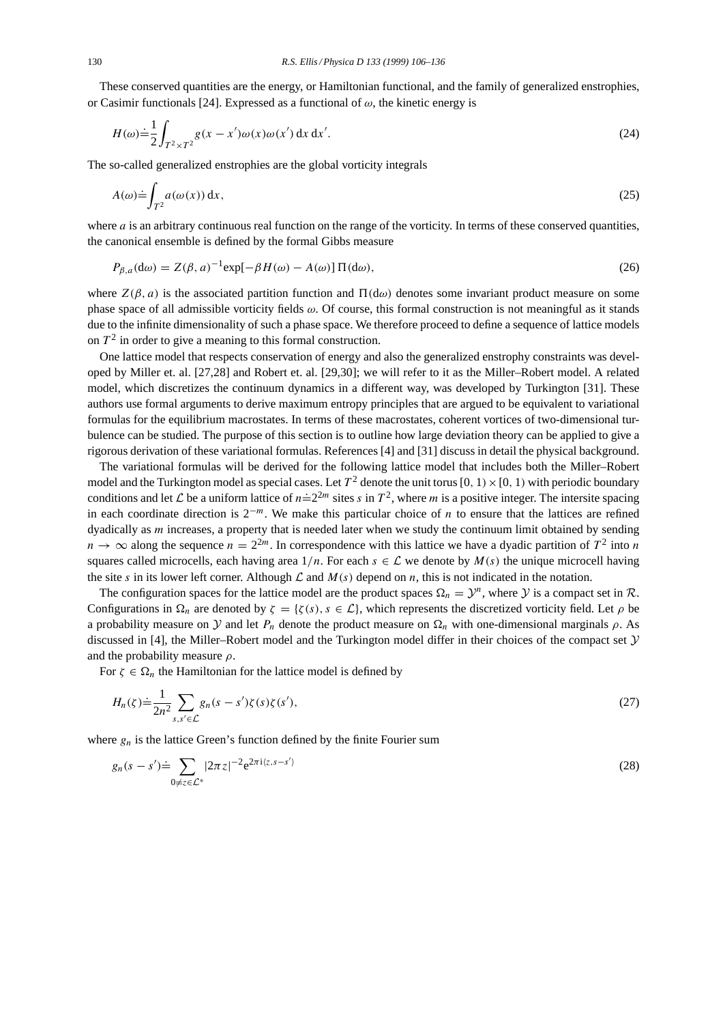These conserved quantities are the energy, or Hamiltonian functional, and the family of generalized enstrophies, or Casimir functionals [24]. Expressed as a functional of  $\omega$ , the kinetic energy is

$$
H(\omega) \doteq \frac{1}{2} \int_{T^2 \times T^2} g(x - x') \omega(x) \omega(x') dx dx'.
$$
 (24)

The so-called generalized enstrophies are the global vorticity integrals

$$
A(\omega) \doteq \int_{T^2} a(\omega(x)) \, \mathrm{d}x,\tag{25}
$$

where *a* is an arbitrary continuous real function on the range of the vorticity. In terms of these conserved quantities, the canonical ensemble is defined by the formal Gibbs measure

$$
P_{\beta,a}(\mathbf{d}\omega) = Z(\beta,a)^{-1}\exp[-\beta H(\omega) - A(\omega)]\,\Pi(\mathbf{d}\omega),\tag{26}
$$

where  $Z(\beta, a)$  is the associated partition function and  $\Pi(d\omega)$  denotes some invariant product measure on some phase space of all admissible vorticity fields  $\omega$ . Of course, this formal construction is not meaningful as it stands due to the infinite dimensionality of such a phase space. We therefore proceed to define a sequence of lattice models on  $T<sup>2</sup>$  in order to give a meaning to this formal construction.

One lattice model that respects conservation of energy and also the generalized enstrophy constraints was developed by Miller et. al. [27,28] and Robert et. al. [29,30]; we will refer to it as the Miller–Robert model. A related model, which discretizes the continuum dynamics in a different way, was developed by Turkington [31]. These authors use formal arguments to derive maximum entropy principles that are argued to be equivalent to variational formulas for the equilibrium macrostates. In terms of these macrostates, coherent vortices of two-dimensional turbulence can be studied. The purpose of this section is to outline how large deviation theory can be applied to give a rigorous derivation of these variational formulas. References [4] and [31] discuss in detail the physical background.

The variational formulas will be derived for the following lattice model that includes both the Miller–Robert model and the Turkington model as special cases. Let  $T^2$  denote the unit torus [0, 1) × [0, 1) with periodic boundary conditions and let L be a uniform lattice of  $n=2^{2m}$  sites s in  $T^2$ , where m is a positive integer. The intersite spacing in each coordinate direction is  $2^{-m}$ . We make this particular choice of *n* to ensure that the lattices are refined dyadically as m increases, a property that is needed later when we study the continuum limit obtained by sending  $n \to \infty$  along the sequence  $n = 2^{2m}$ . In correspondence with this lattice we have a dyadic partition of  $T^2$  into n squares called microcells, each having area  $1/n$ . For each  $s \in \mathcal{L}$  we denote by  $M(s)$  the unique microcell having the site s in its lower left corner. Although  $\mathcal L$  and  $M(s)$  depend on n, this is not indicated in the notation.

The configuration spaces for the lattice model are the product spaces  $\Omega_n = \mathcal{Y}^n$ , where Y is a compact set in R. Configurations in  $\Omega_n$  are denoted by  $\zeta = {\zeta(s), s \in \mathcal{L}}$ , which represents the discretized vorticity field. Let  $\rho$  be a probability measure on  $\mathcal Y$  and let  $P_n$  denote the product measure on  $\Omega_n$  with one-dimensional marginals  $\rho$ . As discussed in [4], the Miller–Robert model and the Turkington model differ in their choices of the compact set  $\mathcal Y$ and the probability measure  $\rho$ .

For  $\zeta \in \Omega_n$  the Hamiltonian for the lattice model is defined by

$$
H_n(\zeta) \doteq \frac{1}{2n^2} \sum_{s,s' \in \mathcal{L}} g_n(s-s')\zeta(s)\zeta(s'),\tag{27}
$$

where  $g_n$  is the lattice Green's function defined by the finite Fourier sum

$$
g_n(s-s') \doteq \sum_{0 \neq z \in \mathcal{L}^*} |2\pi z|^{-2} e^{2\pi i \langle z, s-s' \rangle} \tag{28}
$$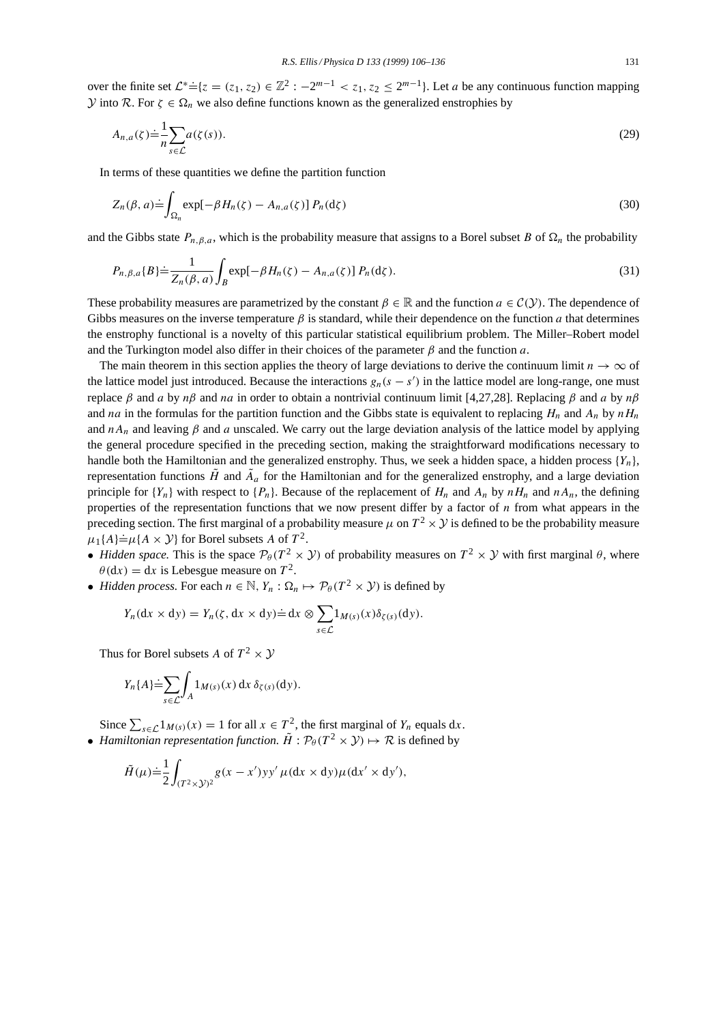over the finite set  $\mathcal{L}^* = \{z = (z_1, z_2) \in \mathbb{Z}^2 : -2^{m-1} < z_1, z_2 \leq 2^{m-1}\}\)$ . Let a be any continuous function mapping *Y* into *R*. For *ζ* ∈  $Ω<sub>n</sub>$  we also define functions known as the generalized enstrophies by

$$
A_{n,a}(\zeta) \doteq \frac{1}{n} \sum_{s \in \mathcal{L}} a(\zeta(s)). \tag{29}
$$

In terms of these quantities we define the partition function

$$
Z_n(\beta, a) \doteq \int_{\Omega_n} \exp[-\beta H_n(\zeta) - A_{n,a}(\zeta)] P_n(\mathrm{d}\zeta)
$$
\n(30)

and the Gibbs state  $P_{n,\beta,a}$ , which is the probability measure that assigns to a Borel subset B of  $\Omega_n$  the probability

$$
P_{n,\beta,a}\{B\} \doteq \frac{1}{Z_n(\beta,a)} \int_B \exp[-\beta H_n(\zeta) - A_{n,a}(\zeta)] P_n(\mathrm{d}\zeta). \tag{31}
$$

These probability measures are parametrized by the constant  $\beta \in \mathbb{R}$  and the function  $a \in C(\mathcal{Y})$ . The dependence of Gibbs measures on the inverse temperature  $\beta$  is standard, while their dependence on the function a that determines the enstrophy functional is a novelty of this particular statistical equilibrium problem. The Miller–Robert model and the Turkington model also differ in their choices of the parameter  $\beta$  and the function a.

The main theorem in this section applies the theory of large deviations to derive the continuum limit  $n \to \infty$  of the lattice model just introduced. Because the interactions  $g_n(s - s')$  in the lattice model are long-range, one must replace β and a by nβ and na in order to obtain a nontrivial continuum limit [4,27,28]. Replacing β and a by nβ and na in the formulas for the partition function and the Gibbs state is equivalent to replacing  $H_n$  and  $A_n$  by  $nH_n$ and  $nA_n$  and leaving  $\beta$  and a unscaled. We carry out the large deviation analysis of the lattice model by applying the general procedure specified in the preceding section, making the straightforward modifications necessary to handle both the Hamiltonian and the generalized enstrophy. Thus, we seek a hidden space, a hidden process  $\{Y_n\}$ , representation functions  $\tilde{H}$  and  $\tilde{A}_a$  for the Hamiltonian and for the generalized enstrophy, and a large deviation principle for  $\{Y_n\}$  with respect to  $\{P_n\}$ . Because of the replacement of  $H_n$  and  $A_n$  by  $nH_n$  and  $nA_n$ , the defining properties of the representation functions that we now present differ by a factor of  $n$  from what appears in the preceding section. The first marginal of a probability measure  $\mu$  on  $T^2 \times Y$  is defined to be the probability measure  $\mu_1$ {A}  $\doteq \mu$ {A × Y} for Borel subsets A of  $T^2$ .

- *Hidden space.* This is the space  $\mathcal{P}_{\theta}(T^2 \times \mathcal{Y})$  of probability measures on  $T^2 \times \mathcal{Y}$  with first marginal  $\theta$ , where  $\theta$ (dx) = dx is Lebesgue measure on  $T^2$ .
- *Hidden process.* For each  $n \in \mathbb{N}$ ,  $Y_n : \Omega_n \mapsto \mathcal{P}_\theta(T^2 \times \mathcal{Y})$  is defined by

$$
Y_n(\mathrm{d}x \times \mathrm{d}y) = Y_n(\zeta, \mathrm{d}x \times \mathrm{d}y) \doteq \mathrm{d}x \otimes \sum_{s \in \mathcal{L}} 1_{M(s)}(x) \delta_{\zeta(s)}(\mathrm{d}y).
$$

Thus for Borel subsets A of  $T^2 \times Y$ 

$$
Y_n\{A\} \doteq \sum_{s \in \mathcal{L}} \int_A 1_{M(s)}(x) \, \mathrm{d}x \, \delta_{\zeta(s)}(\mathrm{d}y).
$$

Since  $\sum_{s \in \mathcal{L}} 1_{M(s)}(x) = 1$  for all  $x \in T^2$ , the first marginal of  $Y_n$  equals dx. • *Hamiltonian representation function.*  $\tilde{H}$  :  $\mathcal{P}_{\theta}(T^2 \times \mathcal{Y}) \mapsto \mathcal{R}$  is defined by

$$
\tilde{H}(\mu) \doteq \frac{1}{2} \int_{(T^2 \times \mathcal{Y})^2} g(x - x') y y' \mu(dx \times dy) \mu(dx' \times dy'),
$$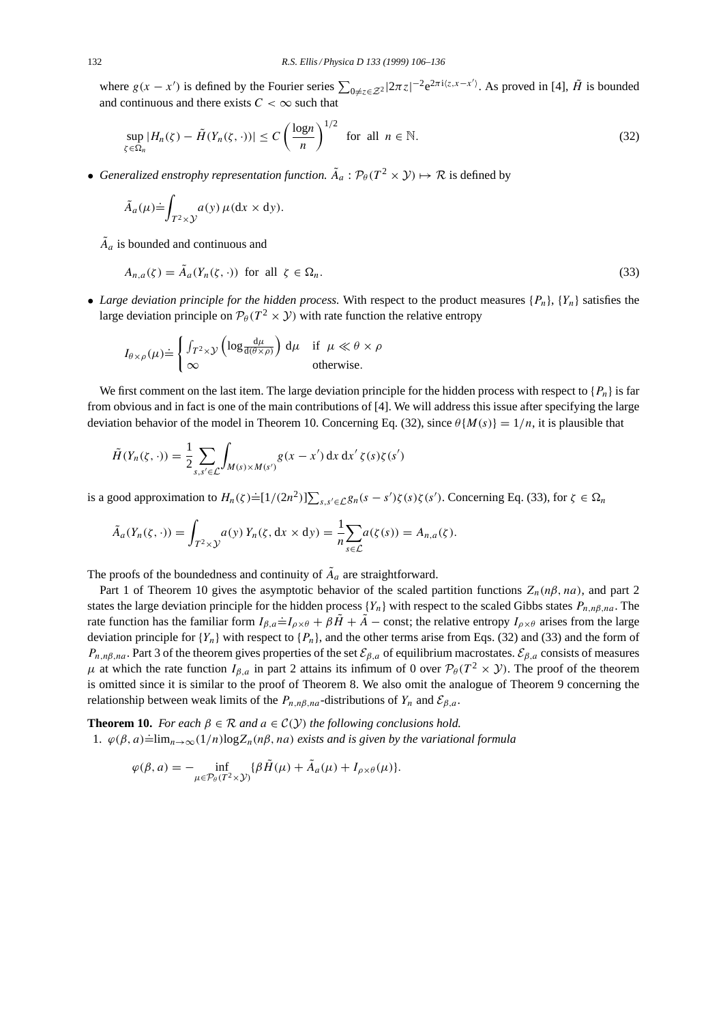where  $g(x - x')$  is defined by the Fourier series  $\sum_{0 \neq z \in \mathcal{Z}^2} |2\pi z|^{-2} e^{2\pi i \langle z, x - x' \rangle}$ . As proved in [4],  $\tilde{H}$  is bounded and continuous and there exists  $C < \infty$  such that

$$
\sup_{\zeta \in \Omega_n} |H_n(\zeta) - \tilde{H}(Y_n(\zeta, \cdot))| \le C \left(\frac{\log n}{n}\right)^{1/2} \text{ for all } n \in \mathbb{N}.
$$
 (32)

• *Generalized enstrophy representation function.*  $\tilde{A}_a$  :  $\mathcal{P}_\theta(T^2 \times \mathcal{Y}) \mapsto \mathcal{R}$  is defined by

$$
\tilde{A}_a(\mu) \doteq \int_{T^2 \times \mathcal{Y}} a(y) \, \mu(\mathrm{d}x \times \mathrm{d}y).
$$

 $\tilde{A}_a$  is bounded and continuous and

$$
A_{n,a}(\zeta) = \tilde{A}_a(Y_n(\zeta, \cdot)) \text{ for all } \zeta \in \Omega_n. \tag{33}
$$

• *Large deviation principle for the hidden process.* With respect to the product measures  $\{P_n\}$ ,  $\{Y_n\}$  satisfies the large deviation principle on  $\mathcal{P}_{\theta}(T^2 \times \mathcal{Y})$  with rate function the relative entropy

$$
I_{\theta \times \rho}(\mu) \doteq \begin{cases} \int_{T^2 \times \mathcal{Y}} \left( \log \frac{d\mu}{d(\theta \times \rho)} \right) d\mu & \text{if } \mu \ll \theta \times \rho \\ \infty & \text{otherwise.} \end{cases}
$$

We first comment on the last item. The large deviation principle for the hidden process with respect to  $\{P_n\}$  is far from obvious and in fact is one of the main contributions of [4]. We will address this issue after specifying the large deviation behavior of the model in Theorem 10. Concerning Eq. (32), since  $\theta\{M(s)\}=1/n$ , it is plausible that

$$
\tilde{H}(Y_n(\zeta,\cdot)) = \frac{1}{2} \sum_{s,s' \in \mathcal{L}} \int_{M(s) \times M(s')} g(x - x') \, dx \, dx' \, \zeta(s) \zeta(s')
$$

is a good approximation to  $H_n(\zeta) \doteq [1/(2n^2)] \sum_{s,s' \in \mathcal{L}} g_n(s - s')\zeta(s)\zeta(s')$ . Concerning Eq. (33), for  $\zeta \in \Omega_n$ 

$$
\tilde{A}_a(Y_n(\zeta,\cdot)) = \int_{T^2 \times \mathcal{Y}} a(y) Y_n(\zeta, dx \times dy) = \frac{1}{n} \sum_{s \in \mathcal{L}} a(\zeta(s)) = A_{n,a}(\zeta).
$$

The proofs of the boundedness and continuity of  $\tilde{A}_a$  are straightforward.

Part 1 of Theorem 10 gives the asymptotic behavior of the scaled partition functions  $Z_n(n\beta, na)$ , and part 2 states the large deviation principle for the hidden process  ${Y_n}$  with respect to the scaled Gibbs states  $P_{n,n\beta,na}$ . The rate function has the familiar form  $I_{\beta,a} = I_{\beta \times \theta} + \beta \tilde{H} + \tilde{A}$  – const; the relative entropy  $I_{\beta \times \theta}$  arises from the large deviation principle for  ${Y_n}$  with respect to  ${P_n}$ , and the other terms arise from Eqs. (32) and (33) and the form of  $P_{n,n\beta,na}$ . Part 3 of the theorem gives properties of the set  $\mathcal{E}_{\beta,a}$  of equilibrium macrostates.  $\mathcal{E}_{\beta,a}$  consists of measures  $\mu$  at which the rate function  $I_{\beta,a}$  in part 2 attains its infimum of 0 over  $\mathcal{P}_{\theta}(T^2 \times \mathcal{Y})$ . The proof of the theorem is omitted since it is similar to the proof of Theorem 8. We also omit the analogue of Theorem 9 concerning the relationship between weak limits of the  $P_{n,n\beta,nq}$ -distributions of  $Y_n$  and  $\mathcal{E}_{\beta,q}$ .

**Theorem 10.** *For each*  $\beta \in \mathcal{R}$  *and*  $a \in \mathcal{C}(\mathcal{Y})$  *the following conclusions hold.* 1.  $\varphi(\beta, a) = \lim_{n \to \infty} (1/n) \log Z_n(n\beta, na)$  *exists and is given by the variational formula* 

$$
\varphi(\beta, a) = -\inf_{\mu \in \mathcal{P}_{\theta}(T^2 \times \mathcal{Y})} \{ \beta \tilde{H}(\mu) + \tilde{A}_a(\mu) + I_{\rho \times \theta}(\mu) \}.
$$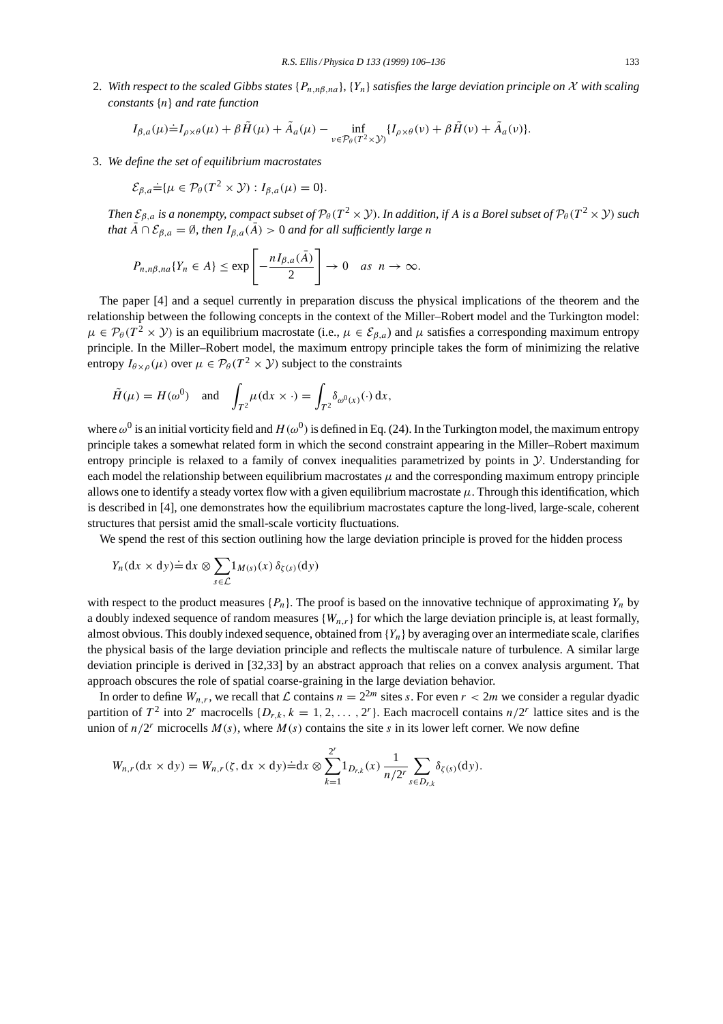2. With respect to the scaled Gibbs states  $\{P_{n,n\beta,na}\}$ ,  $\{Y_n\}$  satisfies the large deviation principle on X with scaling *constants* {n} *and rate function*

$$
I_{\beta,a}(\mu)\dot{=}I_{\rho\times\theta}(\mu)+\beta\tilde{H}(\mu)+\tilde{A}_a(\mu)-\inf_{v\in\mathcal{P}_\theta(T^2\times\mathcal{Y})}\{I_{\rho\times\theta}(v)+\beta\tilde{H}(v)+\tilde{A}_a(v)\}.
$$

3. *We define the set of equilibrium macrostates*

$$
\mathcal{E}_{\beta,a} \dot{=} \{ \mu \in \mathcal{P}_{\theta}(T^2 \times \mathcal{Y}) : I_{\beta,a}(\mu) = 0 \}.
$$

*Then*  $\mathcal{E}_{\beta,a}$  *is a nonempty, compact subset of*  $\mathcal{P}_{\theta}(T^2 \times \mathcal{Y})$ *. In addition, if* A *is a Borel subset of*  $\mathcal{P}_{\theta}(T^2 \times \mathcal{Y})$  *such that*  $\bar{A} \cap \mathcal{E}_{\beta,a} = \emptyset$ , *then*  $I_{\beta,a}(\bar{A}) > 0$  *and for all sufficiently large n* 

$$
P_{n,n\beta,na}\{Y_n \in A\} \le \exp\left[-\frac{nI_{\beta,a}(\bar{A})}{2}\right] \to 0 \quad \text{as} \ \ n \to \infty.
$$

The paper [4] and a sequel currently in preparation discuss the physical implications of the theorem and the relationship between the following concepts in the context of the Miller–Robert model and the Turkington model:  $\mu \in \mathcal{P}_{\theta}(T^2 \times \mathcal{Y})$  is an equilibrium macrostate (i.e.,  $\mu \in \mathcal{E}_{\beta,a}$ ) and  $\mu$  satisfies a corresponding maximum entropy principle. In the Miller–Robert model, the maximum entropy principle takes the form of minimizing the relative entropy  $I_{\theta \times \rho}(\mu)$  over  $\mu \in \mathcal{P}_{\theta}(T^2 \times \mathcal{Y})$  subject to the constraints

$$
\tilde{H}(\mu) = H(\omega^0)
$$
 and  $\int_{T^2} \mu(dx \times \cdot) = \int_{T^2} \delta_{\omega^0(x)}(\cdot) dx$ ,

where  $\omega^0$  is an initial vorticity field and  $H(\omega^0)$  is defined in Eq. (24). In the Turkington model, the maximum entropy principle takes a somewhat related form in which the second constraint appearing in the Miller–Robert maximum entropy principle is relaxed to a family of convex inequalities parametrized by points in  $\mathcal Y$ . Understanding for each model the relationship between equilibrium macrostates  $\mu$  and the corresponding maximum entropy principle allows one to identify a steady vortex flow with a given equilibrium macrostate  $\mu$ . Through this identification, which is described in [4], one demonstrates how the equilibrium macrostates capture the long-lived, large-scale, coherent structures that persist amid the small-scale vorticity fluctuations.

We spend the rest of this section outlining how the large deviation principle is proved for the hidden process

$$
Y_n(\mathrm{d}x \times \mathrm{d}y) \doteq \mathrm{d}x \otimes \sum_{s \in \mathcal{L}} 1_{M(s)}(x) \, \delta_{\zeta(s)}(\mathrm{d}y)
$$

with respect to the product measures  $\{P_n\}$ . The proof is based on the innovative technique of approximating  $Y_n$  by a doubly indexed sequence of random measures  $\{W_{n,r}\}$  for which the large deviation principle is, at least formally, almost obvious. This doubly indexed sequence, obtained from  ${Y_n}$  by averaging over an intermediate scale, clarifies the physical basis of the large deviation principle and reflects the multiscale nature of turbulence. A similar large deviation principle is derived in [32,33] by an abstract approach that relies on a convex analysis argument. That approach obscures the role of spatial coarse-graining in the large deviation behavior.

In order to define  $W_{n,r}$ , we recall that  $\mathcal L$  contains  $n = 2^{2m}$  sites s. For even  $r < 2m$  we consider a regular dyadic partition of  $T^2$  into  $2^r$  macrocells  $\{D_{r,k}, k = 1, 2, \ldots, 2^r\}$ . Each macrocell contains  $n/2^r$  lattice sites and is the union of  $n/2^r$  microcells  $M(s)$ , where  $M(s)$  contains the site s in its lower left corner. We now define

$$
W_{n,r}(\mathrm{d} x \times \mathrm{d} y) = W_{n,r}(\zeta, \mathrm{d} x \times \mathrm{d} y) \dot{=} \mathrm{d} x \otimes \sum_{k=1}^{2^r} 1_{D_{r,k}}(x) \frac{1}{n/2^r} \sum_{s \in D_{r,k}} \delta_{\zeta(s)}(\mathrm{d} y).
$$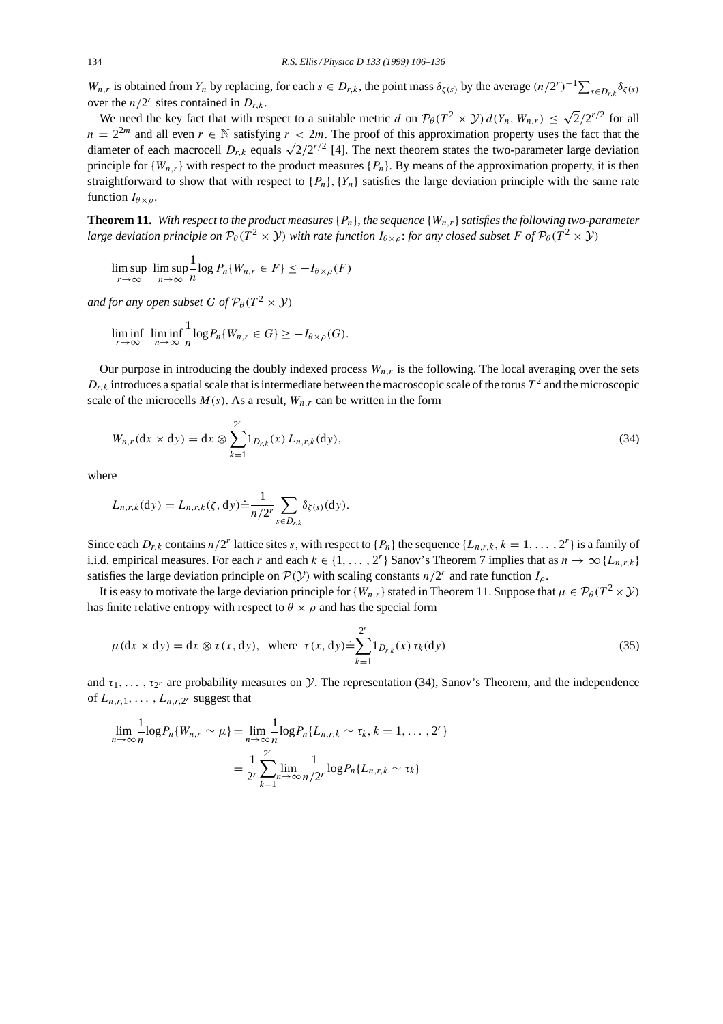$W_{n,r}$  is obtained from  $Y_n$  by replacing, for each  $s \in D_{r,k}$ , the point mass  $\delta_{\zeta(s)}$  by the average  $(n/2^r)^{-1} \sum_{s \in D_{r,k}} \delta_{\zeta(s)}$ over the  $n/2^r$  sites contained in  $D_{r,k}$ .

We need the key fact that with respect to a suitable metric d on  $\mathcal{P}_{\theta}(T^2 \times \mathcal{Y}) d(Y_n, W_{n,r}) \leq \sqrt{2}/2^{r/2}$  for all  $n = 2^{2m}$  and all even  $r \in \mathbb{N}$  satisfying  $r < 2m$ . The proof of this approximation property uses the fact that the diameter of each macrocell  $D_{r,k}$  equals  $\sqrt{2}/2^{r/2}$  [4]. The next theorem states the two-parameter large deviation principle for  $\{W_{n,r}\}$  with respect to the product measures  $\{P_n\}$ . By means of the approximation property, it is then straightforward to show that with respect to  $\{P_n\}$ ,  $\{Y_n\}$  satisfies the large deviation principle with the same rate function  $I_{\theta \times \rho}$ .

**Theorem 11.** With respect to the product measures  $\{P_n\}$ , the sequence  $\{W_n\}$  satisfies the following two-parameter *large deviation principle on*  $\mathcal{P}_{\theta}(T^2 \times Y)$  *with rate function*  $I_{\theta \times \rho}$ *: for any closed subset* F of  $\mathcal{P}_{\theta}(T^2 \times Y)$ 

$$
\limsup_{r \to \infty} \limsup_{n \to \infty} \frac{1}{n} \log P_n \{ W_{n,r} \in F \} \le -I_{\theta \times \rho}(F)
$$

*and for any open subset* G of  $\mathcal{P}_{\theta}(T^2 \times \mathcal{Y})$ 

$$
\liminf_{r \to \infty} \liminf_{n \to \infty} \frac{1}{n} \log P_n \{ W_{n,r} \in G \} \geq -I_{\theta \times \rho}(G).
$$

Our purpose in introducing the doubly indexed process  $W_{n,r}$  is the following. The local averaging over the sets  $D_{r,k}$  introduces a spatial scale that is intermediate between the macroscopic scale of the torus  $T^2$  and the microscopic scale of the microcells  $M(s)$ . As a result,  $W_{n,r}$  can be written in the form

$$
W_{n,r}(\text{d}x \times \text{d}y) = \text{d}x \otimes \sum_{k=1}^{2^r} 1_{D_{r,k}}(x) L_{n,r,k}(\text{d}y), \tag{34}
$$

where

$$
L_{n,r,k}(\mathrm{d}y)=L_{n,r,k}(\zeta,\mathrm{d}y)\doteq\frac{1}{n/2^r}\sum_{s\in D_{r,k}}\delta_{\zeta(s)}(\mathrm{d}y).
$$

Since each  $D_{r,k}$  contains  $n/2^r$  lattice sites s, with respect to  $\{P_n\}$  the sequence  $\{L_{n,r,k}, k = 1, \ldots, 2^r\}$  is a family of i.i.d. empirical measures. For each r and each  $k \in \{1, ..., 2^r\}$  Sanov's Theorem 7 implies that as  $n \to \infty \{L_{n,r,k}\}\$ satisfies the large deviation principle on  $\mathcal{P}(Y)$  with scaling constants  $n/2^r$  and rate function  $I_0$ .

It is easy to motivate the large deviation principle for  $\{W_{n,r}\}$  stated in Theorem 11. Suppose that  $\mu \in \mathcal{P}_{\theta}(T^2 \times \mathcal{Y})$ has finite relative entropy with respect to  $\theta \times \rho$  and has the special form

$$
\mu(dx \times dy) = dx \otimes \tau(x, dy), \text{ where } \tau(x, dy) = \sum_{k=1}^{2^r} 1_{D_{r,k}}(x) \tau_k(dy)
$$
\n(35)

and  $\tau_1, \ldots, \tau_{2r}$  are probability measures on  $\mathcal Y$ . The representation (34), Sanov's Theorem, and the independence of  $L_{n,r,1},\ldots,L_{n,r,2^r}$  suggest that

$$
\lim_{n \to \infty} \frac{1}{n} \log P_n \{ W_{n,r} \sim \mu \} = \lim_{n \to \infty} \frac{1}{n} \log P_n \{ L_{n,r,k} \sim \tau_k, k = 1, ..., 2^r \}
$$

$$
= \frac{1}{2^r} \sum_{k=1}^{2^r} \lim_{n \to \infty} \frac{1}{n/2^r} \log P_n \{ L_{n,r,k} \sim \tau_k \}
$$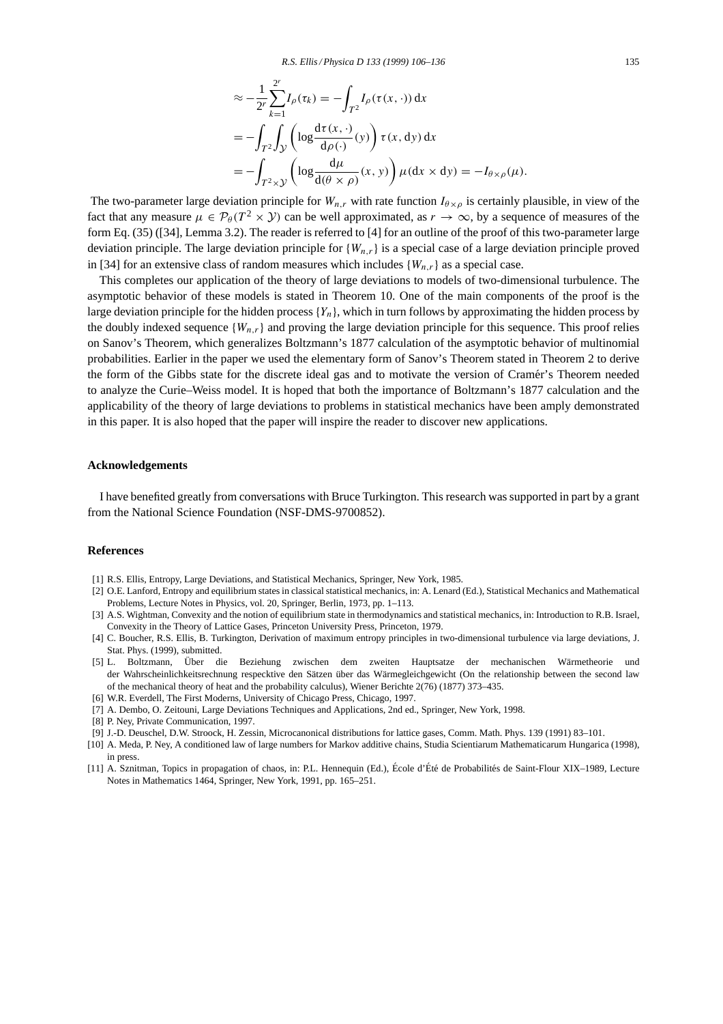$$
\approx -\frac{1}{2^r} \sum_{k=1}^{2^r} I_\rho(\tau_k) = -\int_{T^2} I_\rho(\tau(x, \cdot)) dx
$$
  
=  $-\int_{T^2} \int_{\mathcal{Y}} \left( \log \frac{d\tau(x, \cdot)}{d\rho(\cdot)}(y) \right) \tau(x, dy) dx$   
=  $-\int_{T^2 \times \mathcal{Y}} \left( \log \frac{d\mu}{d(\theta \times \rho)}(x, y) \right) \mu(dx \times dy) = -I_{\theta \times \rho}(\mu).$ 

The two-parameter large deviation principle for  $W_{n,r}$  with rate function  $I_{\theta \times \rho}$  is certainly plausible, in view of the fact that any measure  $\mu \in \mathcal{P}_{\theta}(T^2 \times \mathcal{Y})$  can be well approximated, as  $r \to \infty$ , by a sequence of measures of the form Eq. (35) ([34], Lemma 3.2). The reader is referred to [4] for an outline of the proof of this two-parameter large deviation principle. The large deviation principle for  ${W_{n,r}}$  is a special case of a large deviation principle proved in [34] for an extensive class of random measures which includes  ${W_{n,r}}$  as a special case.

This completes our application of the theory of large deviations to models of two-dimensional turbulence. The asymptotic behavior of these models is stated in Theorem 10. One of the main components of the proof is the large deviation principle for the hidden process  ${Y_n}$ , which in turn follows by approximating the hidden process by the doubly indexed sequence  $\{W_{n,r}\}\$  and proving the large deviation principle for this sequence. This proof relies on Sanov's Theorem, which generalizes Boltzmann's 1877 calculation of the asymptotic behavior of multinomial probabilities. Earlier in the paper we used the elementary form of Sanov's Theorem stated in Theorem 2 to derive the form of the Gibbs state for the discrete ideal gas and to motivate the version of Cramer's Theorem needed ´ to analyze the Curie–Weiss model. It is hoped that both the importance of Boltzmann's 1877 calculation and the applicability of the theory of large deviations to problems in statistical mechanics have been amply demonstrated in this paper. It is also hoped that the paper will inspire the reader to discover new applications.

#### **Acknowledgements**

I have benefited greatly from conversations with Bruce Turkington. This research was supported in part by a grant from the National Science Foundation (NSF-DMS-9700852).

#### **References**

- [1] R.S. Ellis, Entropy, Large Deviations, and Statistical Mechanics, Springer, New York, 1985.
- [2] O.E. Lanford, Entropy and equilibrium states in classical statistical mechanics, in: A. Lenard (Ed.), Statistical Mechanics and Mathematical Problems, Lecture Notes in Physics, vol. 20, Springer, Berlin, 1973, pp. 1–113.
- [3] A.S. Wightman, Convexity and the notion of equilibrium state in thermodynamics and statistical mechanics, in: Introduction to R.B. Israel, Convexity in the Theory of Lattice Gases, Princeton University Press, Princeton, 1979.
- [4] C. Boucher, R.S. Ellis, B. Turkington, Derivation of maximum entropy principles in two-dimensional turbulence via large deviations, J. Stat. Phys. (1999), submitted.
- [5] L. Boltzmann, Über die Beziehung zwischen dem zweiten Hauptsatze der mechanischen Wärmetheorie und der Wahrscheinlichkeitsrechnung respecktive den Sätzen über das Wärmegleichgewicht (On the relationship between the second law of the mechanical theory of heat and the probability calculus), Wiener Berichte 2(76) (1877) 373–435.
- [6] W.R. Everdell, The First Moderns, University of Chicago Press, Chicago, 1997.
- [7] A. Dembo, O. Zeitouni, Large Deviations Techniques and Applications, 2nd ed., Springer, New York, 1998.
- [8] P. Ney, Private Communication, 1997.
- [9] J.-D. Deuschel, D.W. Stroock, H. Zessin, Microcanonical distributions for lattice gases, Comm. Math. Phys. 139 (1991) 83–101.
- [10] A. Meda, P. Ney, A conditioned law of large numbers for Markov additive chains, Studia Scientiarum Mathematicarum Hungarica (1998), in press.
- [11] A. Sznitman, Topics in propagation of chaos, in: P.L. Hennequin (Ed.), École d'Été de Probabilités de Saint-Flour XIX–1989, Lecture Notes in Mathematics 1464, Springer, New York, 1991, pp. 165–251.